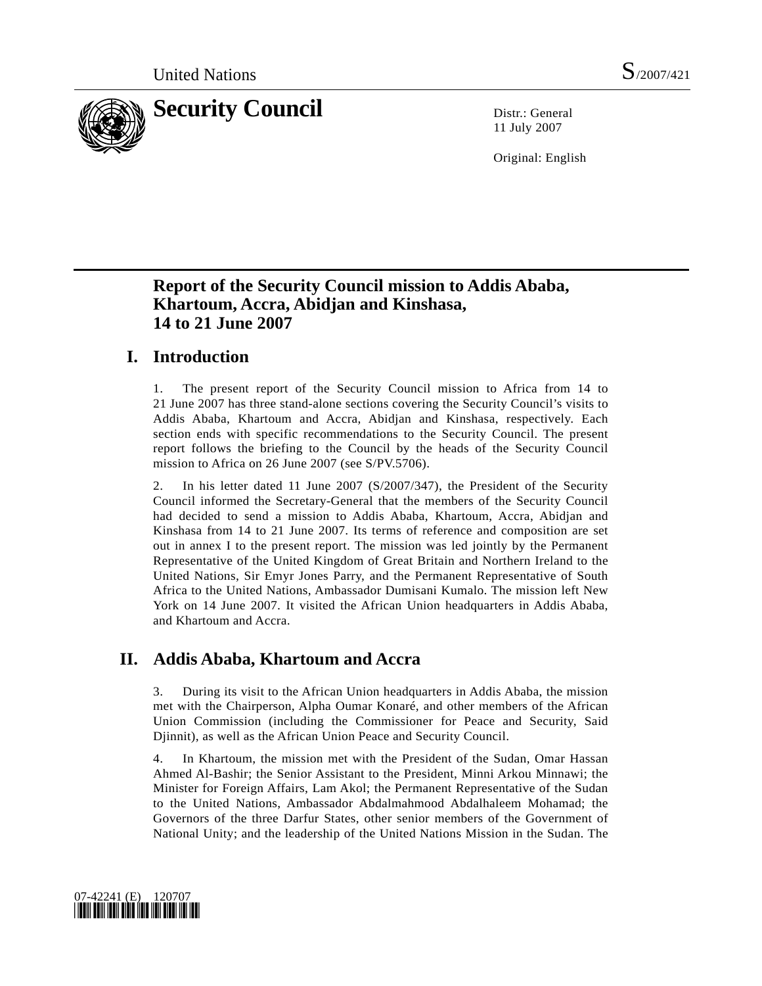

11 July 2007

Original: English

# **Report of the Security Council mission to Addis Ababa, Khartoum, Accra, Abidjan and Kinshasa, 14 to 21 June 2007**

# **I. Introduction**

1. The present report of the Security Council mission to Africa from 14 to 21 June 2007 has three stand-alone sections covering the Security Council's visits to Addis Ababa, Khartoum and Accra, Abidjan and Kinshasa, respectively. Each section ends with specific recommendations to the Security Council. The present report follows the briefing to the Council by the heads of the Security Council mission to Africa on 26 June 2007 (see S/PV.5706).

2. In his letter dated 11 June 2007 (S/2007/347), the President of the Security Council informed the Secretary-General that the members of the Security Council had decided to send a mission to Addis Ababa, Khartoum, Accra, Abidjan and Kinshasa from 14 to 21 June 2007. Its terms of reference and composition are set out in annex I to the present report. The mission was led jointly by the Permanent Representative of the United Kingdom of Great Britain and Northern Ireland to the United Nations, Sir Emyr Jones Parry, and the Permanent Representative of South Africa to the United Nations, Ambassador Dumisani Kumalo. The mission left New York on 14 June 2007. It visited the African Union headquarters in Addis Ababa, and Khartoum and Accra.

# **II. Addis Ababa, Khartoum and Accra**

3. During its visit to the African Union headquarters in Addis Ababa, the mission met with the Chairperson, Alpha Oumar Konaré, and other members of the African Union Commission (including the Commissioner for Peace and Security, Said Djinnit), as well as the African Union Peace and Security Council.

4. In Khartoum, the mission met with the President of the Sudan, Omar Hassan Ahmed Al-Bashir; the Senior Assistant to the President, Minni Arkou Minnawi; the Minister for Foreign Affairs, Lam Akol; the Permanent Representative of the Sudan to the United Nations, Ambassador Abdalmahmood Abdalhaleem Mohamad; the Governors of the three Darfur States, other senior members of the Government of National Unity; and the leadership of the United Nations Mission in the Sudan. The

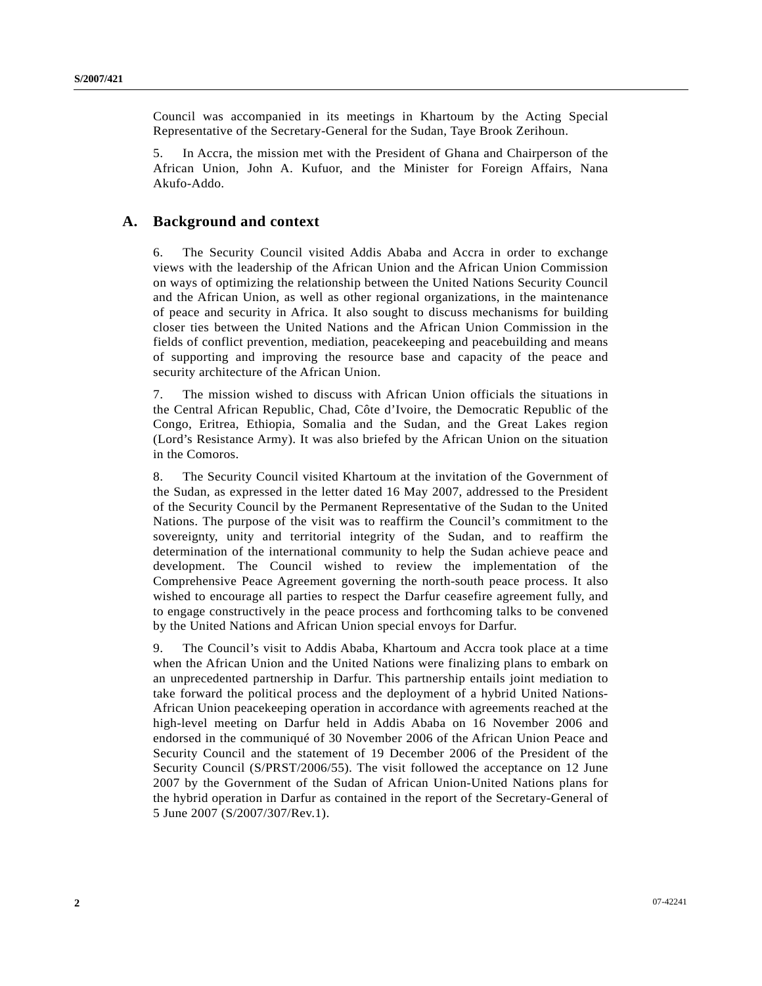Council was accompanied in its meetings in Khartoum by the Acting Special Representative of the Secretary-General for the Sudan, Taye Brook Zerihoun.

5. In Accra, the mission met with the President of Ghana and Chairperson of the African Union, John A. Kufuor, and the Minister for Foreign Affairs, Nana Akufo-Addo.

## **A. Background and context**

6. The Security Council visited Addis Ababa and Accra in order to exchange views with the leadership of the African Union and the African Union Commission on ways of optimizing the relationship between the United Nations Security Council and the African Union, as well as other regional organizations, in the maintenance of peace and security in Africa. It also sought to discuss mechanisms for building closer ties between the United Nations and the African Union Commission in the fields of conflict prevention, mediation, peacekeeping and peacebuilding and means of supporting and improving the resource base and capacity of the peace and security architecture of the African Union.

7. The mission wished to discuss with African Union officials the situations in the Central African Republic, Chad, Côte d'Ivoire, the Democratic Republic of the Congo, Eritrea, Ethiopia, Somalia and the Sudan, and the Great Lakes region (Lord's Resistance Army). It was also briefed by the African Union on the situation in the Comoros.

8. The Security Council visited Khartoum at the invitation of the Government of the Sudan, as expressed in the letter dated 16 May 2007, addressed to the President of the Security Council by the Permanent Representative of the Sudan to the United Nations. The purpose of the visit was to reaffirm the Council's commitment to the sovereignty, unity and territorial integrity of the Sudan, and to reaffirm the determination of the international community to help the Sudan achieve peace and development. The Council wished to review the implementation of the Comprehensive Peace Agreement governing the north-south peace process. It also wished to encourage all parties to respect the Darfur ceasefire agreement fully, and to engage constructively in the peace process and forthcoming talks to be convened by the United Nations and African Union special envoys for Darfur.

9. The Council's visit to Addis Ababa, Khartoum and Accra took place at a time when the African Union and the United Nations were finalizing plans to embark on an unprecedented partnership in Darfur. This partnership entails joint mediation to take forward the political process and the deployment of a hybrid United Nations-African Union peacekeeping operation in accordance with agreements reached at the high-level meeting on Darfur held in Addis Ababa on 16 November 2006 and endorsed in the communiqué of 30 November 2006 of the African Union Peace and Security Council and the statement of 19 December 2006 of the President of the Security Council (S/PRST/2006/55). The visit followed the acceptance on 12 June 2007 by the Government of the Sudan of African Union-United Nations plans for the hybrid operation in Darfur as contained in the report of the Secretary-General of 5 June 2007 (S/2007/307/Rev.1).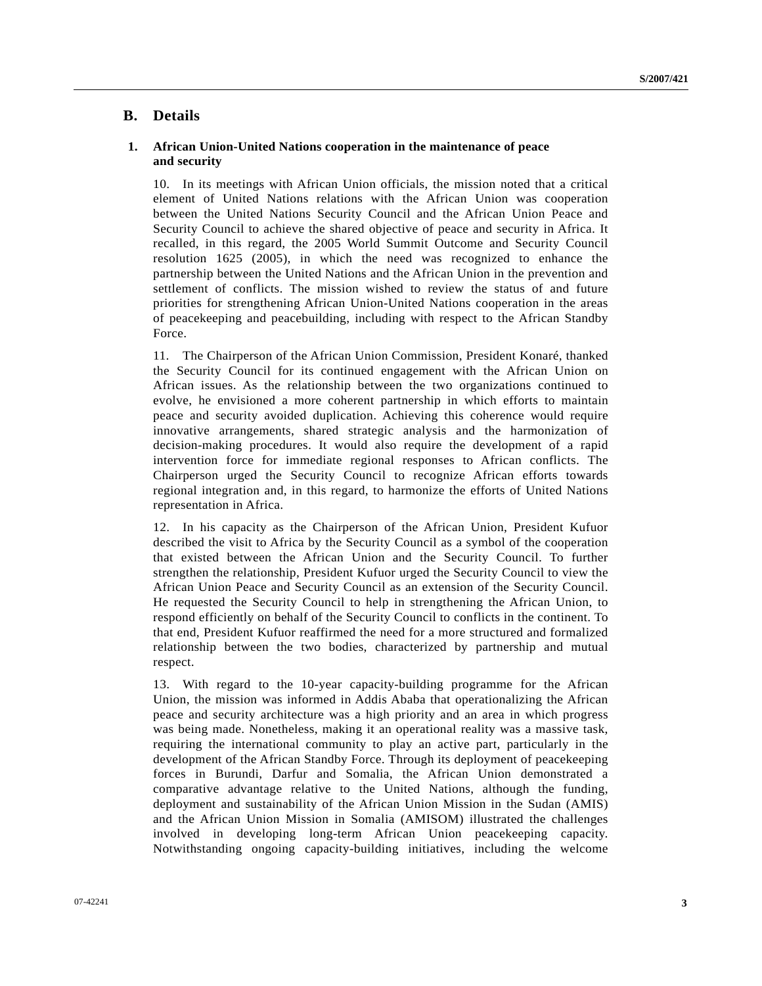## **B. Details**

#### **1. African Union-United Nations cooperation in the maintenance of peace and security**

10. In its meetings with African Union officials, the mission noted that a critical element of United Nations relations with the African Union was cooperation between the United Nations Security Council and the African Union Peace and Security Council to achieve the shared objective of peace and security in Africa. It recalled, in this regard, the 2005 World Summit Outcome and Security Council resolution 1625 (2005), in which the need was recognized to enhance the partnership between the United Nations and the African Union in the prevention and settlement of conflicts. The mission wished to review the status of and future priorities for strengthening African Union-United Nations cooperation in the areas of peacekeeping and peacebuilding, including with respect to the African Standby Force.

11. The Chairperson of the African Union Commission, President Konaré, thanked the Security Council for its continued engagement with the African Union on African issues. As the relationship between the two organizations continued to evolve, he envisioned a more coherent partnership in which efforts to maintain peace and security avoided duplication. Achieving this coherence would require innovative arrangements, shared strategic analysis and the harmonization of decision-making procedures. It would also require the development of a rapid intervention force for immediate regional responses to African conflicts. The Chairperson urged the Security Council to recognize African efforts towards regional integration and, in this regard, to harmonize the efforts of United Nations representation in Africa.

12. In his capacity as the Chairperson of the African Union, President Kufuor described the visit to Africa by the Security Council as a symbol of the cooperation that existed between the African Union and the Security Council. To further strengthen the relationship, President Kufuor urged the Security Council to view the African Union Peace and Security Council as an extension of the Security Council. He requested the Security Council to help in strengthening the African Union, to respond efficiently on behalf of the Security Council to conflicts in the continent. To that end, President Kufuor reaffirmed the need for a more structured and formalized relationship between the two bodies, characterized by partnership and mutual respect.

13. With regard to the 10-year capacity-building programme for the African Union, the mission was informed in Addis Ababa that operationalizing the African peace and security architecture was a high priority and an area in which progress was being made. Nonetheless, making it an operational reality was a massive task, requiring the international community to play an active part, particularly in the development of the African Standby Force. Through its deployment of peacekeeping forces in Burundi, Darfur and Somalia, the African Union demonstrated a comparative advantage relative to the United Nations, although the funding, deployment and sustainability of the African Union Mission in the Sudan (AMIS) and the African Union Mission in Somalia (AMISOM) illustrated the challenges involved in developing long-term African Union peacekeeping capacity. Notwithstanding ongoing capacity-building initiatives, including the welcome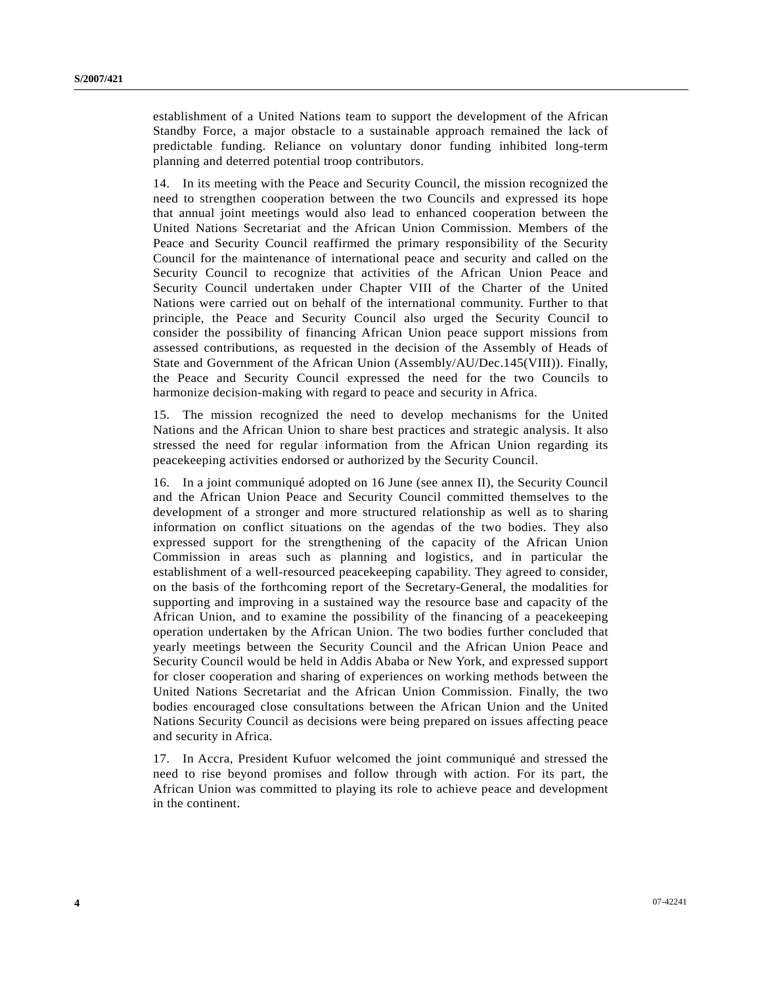establishment of a United Nations team to support the development of the African Standby Force, a major obstacle to a sustainable approach remained the lack of predictable funding. Reliance on voluntary donor funding inhibited long-term planning and deterred potential troop contributors.

14. In its meeting with the Peace and Security Council, the mission recognized the need to strengthen cooperation between the two Councils and expressed its hope that annual joint meetings would also lead to enhanced cooperation between the United Nations Secretariat and the African Union Commission. Members of the Peace and Security Council reaffirmed the primary responsibility of the Security Council for the maintenance of international peace and security and called on the Security Council to recognize that activities of the African Union Peace and Security Council undertaken under Chapter VIII of the Charter of the United Nations were carried out on behalf of the international community. Further to that principle, the Peace and Security Council also urged the Security Council to consider the possibility of financing African Union peace support missions from assessed contributions, as requested in the decision of the Assembly of Heads of State and Government of the African Union (Assembly/AU/Dec.145(VIII)). Finally, the Peace and Security Council expressed the need for the two Councils to harmonize decision-making with regard to peace and security in Africa.

15. The mission recognized the need to develop mechanisms for the United Nations and the African Union to share best practices and strategic analysis. It also stressed the need for regular information from the African Union regarding its peacekeeping activities endorsed or authorized by the Security Council.

16. In a joint communiqué adopted on 16 June (see annex II), the Security Council and the African Union Peace and Security Council committed themselves to the development of a stronger and more structured relationship as well as to sharing information on conflict situations on the agendas of the two bodies. They also expressed support for the strengthening of the capacity of the African Union Commission in areas such as planning and logistics, and in particular the establishment of a well-resourced peacekeeping capability. They agreed to consider, on the basis of the forthcoming report of the Secretary-General, the modalities for supporting and improving in a sustained way the resource base and capacity of the African Union, and to examine the possibility of the financing of a peacekeeping operation undertaken by the African Union. The two bodies further concluded that yearly meetings between the Security Council and the African Union Peace and Security Council would be held in Addis Ababa or New York, and expressed support for closer cooperation and sharing of experiences on working methods between the United Nations Secretariat and the African Union Commission. Finally, the two bodies encouraged close consultations between the African Union and the United Nations Security Council as decisions were being prepared on issues affecting peace and security in Africa.

17. In Accra, President Kufuor welcomed the joint communiqué and stressed the need to rise beyond promises and follow through with action. For its part, the African Union was committed to playing its role to achieve peace and development in the continent.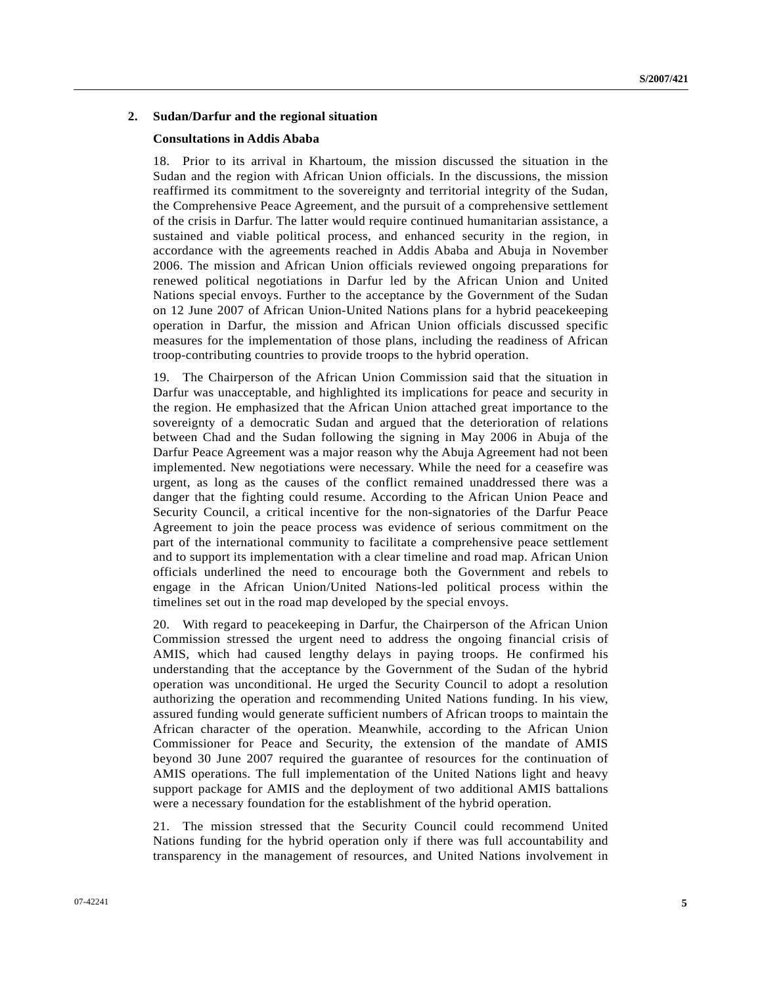#### **2. Sudan/Darfur and the regional situation**

#### **Consultations in Addis Ababa**

18. Prior to its arrival in Khartoum, the mission discussed the situation in the Sudan and the region with African Union officials. In the discussions, the mission reaffirmed its commitment to the sovereignty and territorial integrity of the Sudan, the Comprehensive Peace Agreement, and the pursuit of a comprehensive settlement of the crisis in Darfur. The latter would require continued humanitarian assistance, a sustained and viable political process, and enhanced security in the region, in accordance with the agreements reached in Addis Ababa and Abuja in November 2006. The mission and African Union officials reviewed ongoing preparations for renewed political negotiations in Darfur led by the African Union and United Nations special envoys. Further to the acceptance by the Government of the Sudan on 12 June 2007 of African Union-United Nations plans for a hybrid peacekeeping operation in Darfur, the mission and African Union officials discussed specific measures for the implementation of those plans, including the readiness of African troop-contributing countries to provide troops to the hybrid operation.

19. The Chairperson of the African Union Commission said that the situation in Darfur was unacceptable, and highlighted its implications for peace and security in the region. He emphasized that the African Union attached great importance to the sovereignty of a democratic Sudan and argued that the deterioration of relations between Chad and the Sudan following the signing in May 2006 in Abuja of the Darfur Peace Agreement was a major reason why the Abuja Agreement had not been implemented. New negotiations were necessary. While the need for a ceasefire was urgent, as long as the causes of the conflict remained unaddressed there was a danger that the fighting could resume. According to the African Union Peace and Security Council, a critical incentive for the non-signatories of the Darfur Peace Agreement to join the peace process was evidence of serious commitment on the part of the international community to facilitate a comprehensive peace settlement and to support its implementation with a clear timeline and road map. African Union officials underlined the need to encourage both the Government and rebels to engage in the African Union/United Nations-led political process within the timelines set out in the road map developed by the special envoys.

20. With regard to peacekeeping in Darfur, the Chairperson of the African Union Commission stressed the urgent need to address the ongoing financial crisis of AMIS, which had caused lengthy delays in paying troops. He confirmed his understanding that the acceptance by the Government of the Sudan of the hybrid operation was unconditional. He urged the Security Council to adopt a resolution authorizing the operation and recommending United Nations funding. In his view, assured funding would generate sufficient numbers of African troops to maintain the African character of the operation. Meanwhile, according to the African Union Commissioner for Peace and Security, the extension of the mandate of AMIS beyond 30 June 2007 required the guarantee of resources for the continuation of AMIS operations. The full implementation of the United Nations light and heavy support package for AMIS and the deployment of two additional AMIS battalions were a necessary foundation for the establishment of the hybrid operation.

21. The mission stressed that the Security Council could recommend United Nations funding for the hybrid operation only if there was full accountability and transparency in the management of resources, and United Nations involvement in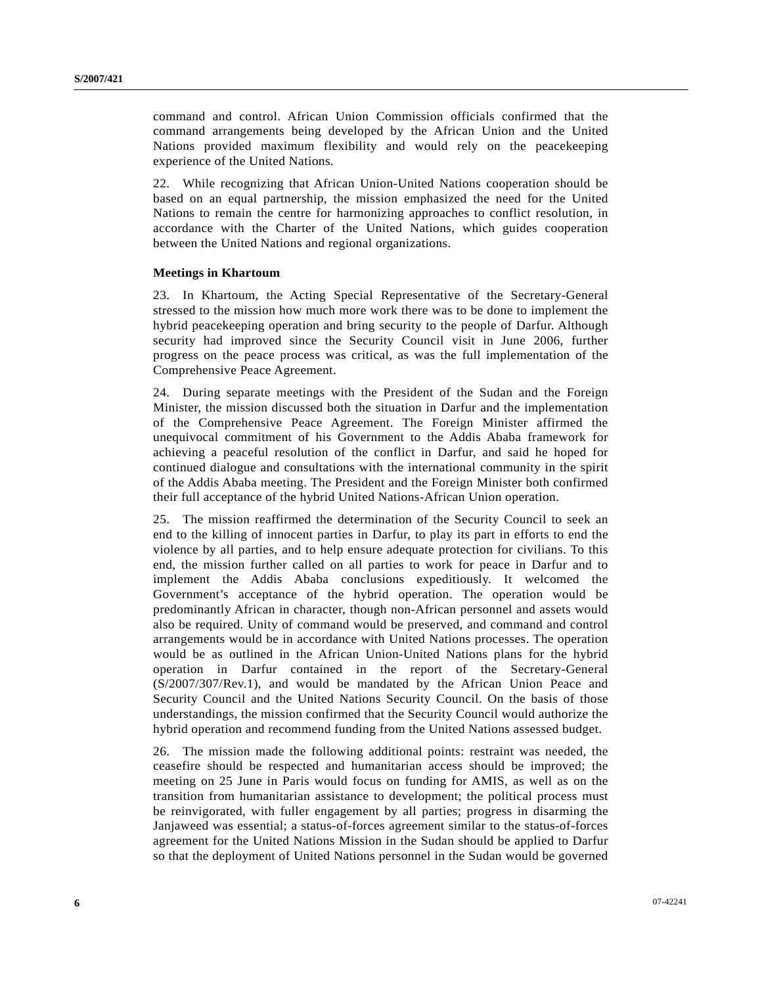command and control. African Union Commission officials confirmed that the command arrangements being developed by the African Union and the United Nations provided maximum flexibility and would rely on the peacekeeping experience of the United Nations.

22. While recognizing that African Union-United Nations cooperation should be based on an equal partnership, the mission emphasized the need for the United Nations to remain the centre for harmonizing approaches to conflict resolution, in accordance with the Charter of the United Nations, which guides cooperation between the United Nations and regional organizations.

#### **Meetings in Khartoum**

23. In Khartoum, the Acting Special Representative of the Secretary-General stressed to the mission how much more work there was to be done to implement the hybrid peacekeeping operation and bring security to the people of Darfur. Although security had improved since the Security Council visit in June 2006, further progress on the peace process was critical, as was the full implementation of the Comprehensive Peace Agreement.

24. During separate meetings with the President of the Sudan and the Foreign Minister, the mission discussed both the situation in Darfur and the implementation of the Comprehensive Peace Agreement. The Foreign Minister affirmed the unequivocal commitment of his Government to the Addis Ababa framework for achieving a peaceful resolution of the conflict in Darfur, and said he hoped for continued dialogue and consultations with the international community in the spirit of the Addis Ababa meeting. The President and the Foreign Minister both confirmed their full acceptance of the hybrid United Nations-African Union operation.

25. The mission reaffirmed the determination of the Security Council to seek an end to the killing of innocent parties in Darfur, to play its part in efforts to end the violence by all parties, and to help ensure adequate protection for civilians. To this end, the mission further called on all parties to work for peace in Darfur and to implement the Addis Ababa conclusions expeditiously. It welcomed the Government's acceptance of the hybrid operation. The operation would be predominantly African in character, though non-African personnel and assets would also be required. Unity of command would be preserved, and command and control arrangements would be in accordance with United Nations processes. The operation would be as outlined in the African Union-United Nations plans for the hybrid operation in Darfur contained in the report of the Secretary-General (S/2007/307/Rev.1), and would be mandated by the African Union Peace and Security Council and the United Nations Security Council. On the basis of those understandings, the mission confirmed that the Security Council would authorize the hybrid operation and recommend funding from the United Nations assessed budget.

26. The mission made the following additional points: restraint was needed, the ceasefire should be respected and humanitarian access should be improved; the meeting on 25 June in Paris would focus on funding for AMIS, as well as on the transition from humanitarian assistance to development; the political process must be reinvigorated, with fuller engagement by all parties; progress in disarming the Janjaweed was essential; a status-of-forces agreement similar to the status-of-forces agreement for the United Nations Mission in the Sudan should be applied to Darfur so that the deployment of United Nations personnel in the Sudan would be governed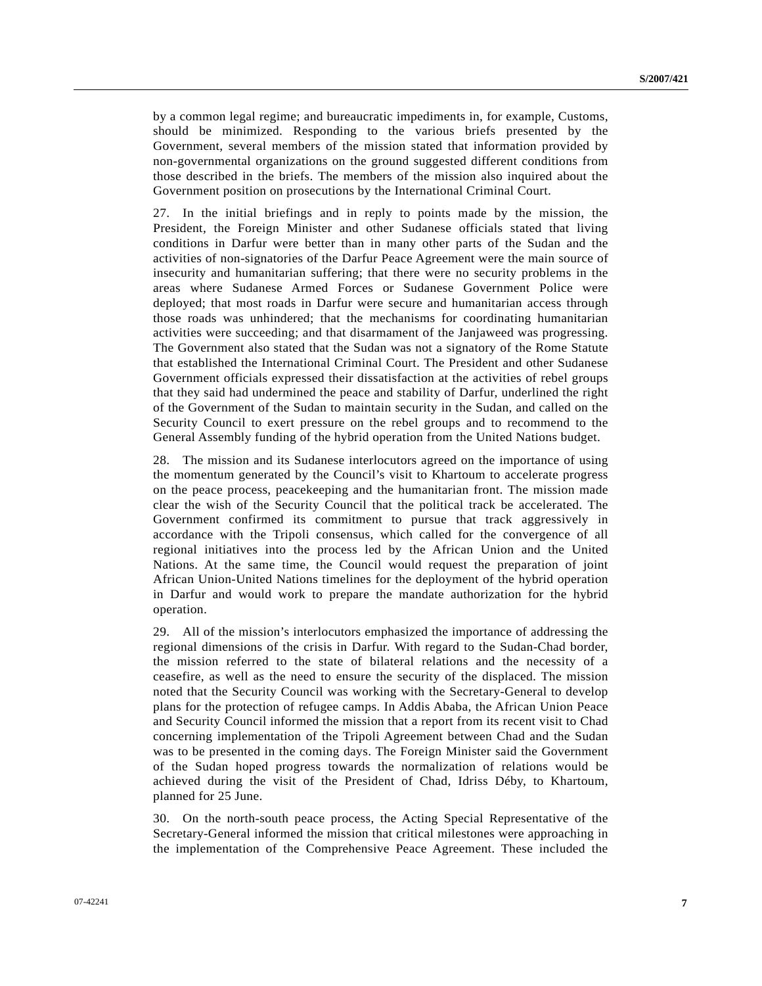by a common legal regime; and bureaucratic impediments in, for example, Customs, should be minimized. Responding to the various briefs presented by the Government, several members of the mission stated that information provided by non-governmental organizations on the ground suggested different conditions from those described in the briefs. The members of the mission also inquired about the Government position on prosecutions by the International Criminal Court.

27. In the initial briefings and in reply to points made by the mission, the President, the Foreign Minister and other Sudanese officials stated that living conditions in Darfur were better than in many other parts of the Sudan and the activities of non-signatories of the Darfur Peace Agreement were the main source of insecurity and humanitarian suffering; that there were no security problems in the areas where Sudanese Armed Forces or Sudanese Government Police were deployed; that most roads in Darfur were secure and humanitarian access through those roads was unhindered; that the mechanisms for coordinating humanitarian activities were succeeding; and that disarmament of the Janjaweed was progressing. The Government also stated that the Sudan was not a signatory of the Rome Statute that established the International Criminal Court. The President and other Sudanese Government officials expressed their dissatisfaction at the activities of rebel groups that they said had undermined the peace and stability of Darfur, underlined the right of the Government of the Sudan to maintain security in the Sudan, and called on the Security Council to exert pressure on the rebel groups and to recommend to the General Assembly funding of the hybrid operation from the United Nations budget.

28. The mission and its Sudanese interlocutors agreed on the importance of using the momentum generated by the Council's visit to Khartoum to accelerate progress on the peace process, peacekeeping and the humanitarian front. The mission made clear the wish of the Security Council that the political track be accelerated. The Government confirmed its commitment to pursue that track aggressively in accordance with the Tripoli consensus, which called for the convergence of all regional initiatives into the process led by the African Union and the United Nations. At the same time, the Council would request the preparation of joint African Union-United Nations timelines for the deployment of the hybrid operation in Darfur and would work to prepare the mandate authorization for the hybrid operation.

29. All of the mission's interlocutors emphasized the importance of addressing the regional dimensions of the crisis in Darfur. With regard to the Sudan-Chad border, the mission referred to the state of bilateral relations and the necessity of a ceasefire, as well as the need to ensure the security of the displaced. The mission noted that the Security Council was working with the Secretary-General to develop plans for the protection of refugee camps. In Addis Ababa, the African Union Peace and Security Council informed the mission that a report from its recent visit to Chad concerning implementation of the Tripoli Agreement between Chad and the Sudan was to be presented in the coming days. The Foreign Minister said the Government of the Sudan hoped progress towards the normalization of relations would be achieved during the visit of the President of Chad, Idriss Déby, to Khartoum, planned for 25 June.

30. On the north-south peace process, the Acting Special Representative of the Secretary-General informed the mission that critical milestones were approaching in the implementation of the Comprehensive Peace Agreement. These included the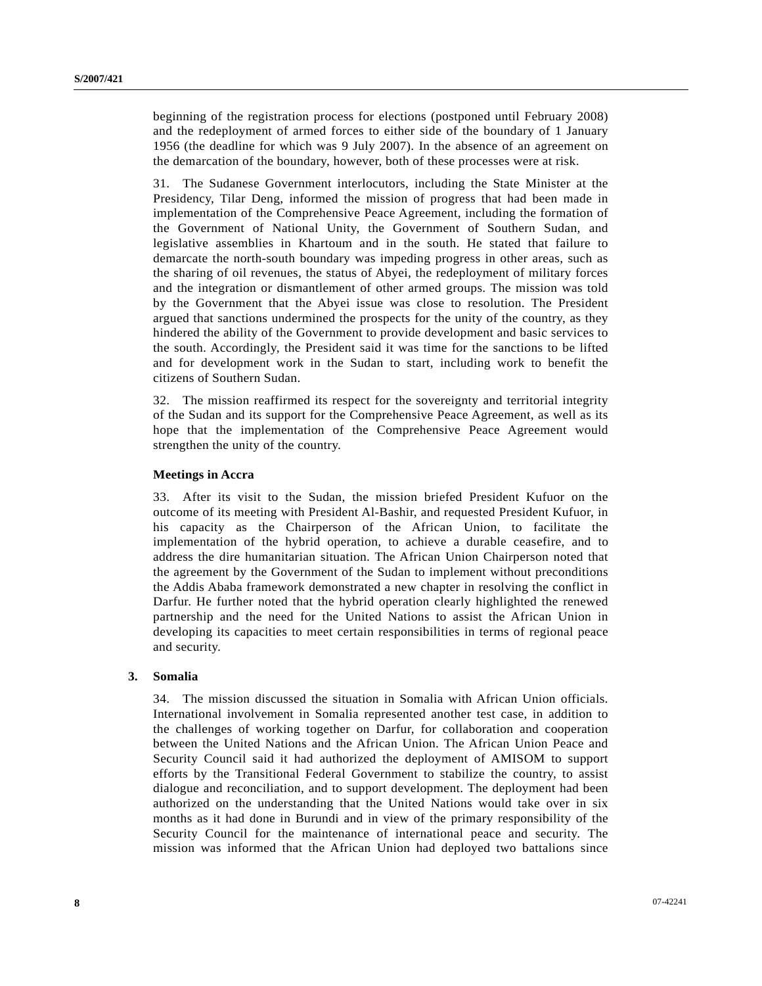beginning of the registration process for elections (postponed until February 2008) and the redeployment of armed forces to either side of the boundary of 1 January 1956 (the deadline for which was 9 July 2007). In the absence of an agreement on the demarcation of the boundary, however, both of these processes were at risk.

31. The Sudanese Government interlocutors, including the State Minister at the Presidency, Tilar Deng, informed the mission of progress that had been made in implementation of the Comprehensive Peace Agreement, including the formation of the Government of National Unity, the Government of Southern Sudan, and legislative assemblies in Khartoum and in the south. He stated that failure to demarcate the north-south boundary was impeding progress in other areas, such as the sharing of oil revenues, the status of Abyei, the redeployment of military forces and the integration or dismantlement of other armed groups. The mission was told by the Government that the Abyei issue was close to resolution. The President argued that sanctions undermined the prospects for the unity of the country, as they hindered the ability of the Government to provide development and basic services to the south. Accordingly, the President said it was time for the sanctions to be lifted and for development work in the Sudan to start, including work to benefit the citizens of Southern Sudan.

32. The mission reaffirmed its respect for the sovereignty and territorial integrity of the Sudan and its support for the Comprehensive Peace Agreement, as well as its hope that the implementation of the Comprehensive Peace Agreement would strengthen the unity of the country.

#### **Meetings in Accra**

33. After its visit to the Sudan, the mission briefed President Kufuor on the outcome of its meeting with President Al-Bashir, and requested President Kufuor, in his capacity as the Chairperson of the African Union, to facilitate the implementation of the hybrid operation, to achieve a durable ceasefire, and to address the dire humanitarian situation. The African Union Chairperson noted that the agreement by the Government of the Sudan to implement without preconditions the Addis Ababa framework demonstrated a new chapter in resolving the conflict in Darfur. He further noted that the hybrid operation clearly highlighted the renewed partnership and the need for the United Nations to assist the African Union in developing its capacities to meet certain responsibilities in terms of regional peace and security.

#### **3. Somalia**

34. The mission discussed the situation in Somalia with African Union officials. International involvement in Somalia represented another test case, in addition to the challenges of working together on Darfur, for collaboration and cooperation between the United Nations and the African Union. The African Union Peace and Security Council said it had authorized the deployment of AMISOM to support efforts by the Transitional Federal Government to stabilize the country, to assist dialogue and reconciliation, and to support development. The deployment had been authorized on the understanding that the United Nations would take over in six months as it had done in Burundi and in view of the primary responsibility of the Security Council for the maintenance of international peace and security. The mission was informed that the African Union had deployed two battalions since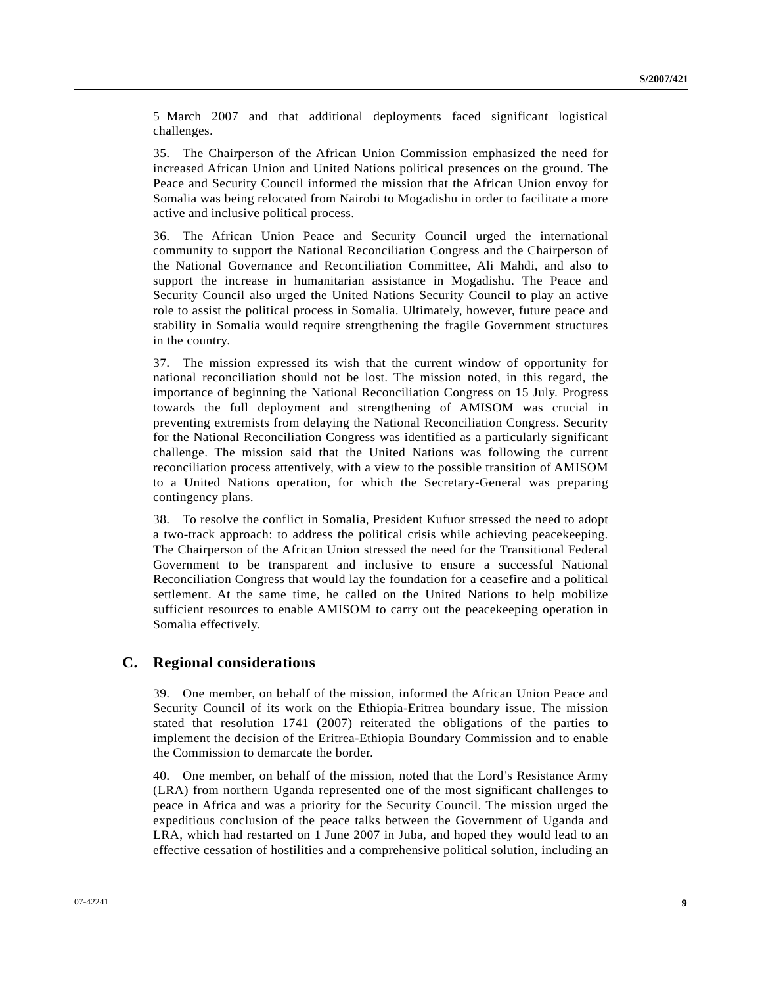5 March 2007 and that additional deployments faced significant logistical challenges.

35. The Chairperson of the African Union Commission emphasized the need for increased African Union and United Nations political presences on the ground. The Peace and Security Council informed the mission that the African Union envoy for Somalia was being relocated from Nairobi to Mogadishu in order to facilitate a more active and inclusive political process.

36. The African Union Peace and Security Council urged the international community to support the National Reconciliation Congress and the Chairperson of the National Governance and Reconciliation Committee, Ali Mahdi, and also to support the increase in humanitarian assistance in Mogadishu. The Peace and Security Council also urged the United Nations Security Council to play an active role to assist the political process in Somalia. Ultimately, however, future peace and stability in Somalia would require strengthening the fragile Government structures in the country.

37. The mission expressed its wish that the current window of opportunity for national reconciliation should not be lost. The mission noted, in this regard, the importance of beginning the National Reconciliation Congress on 15 July. Progress towards the full deployment and strengthening of AMISOM was crucial in preventing extremists from delaying the National Reconciliation Congress. Security for the National Reconciliation Congress was identified as a particularly significant challenge. The mission said that the United Nations was following the current reconciliation process attentively, with a view to the possible transition of AMISOM to a United Nations operation, for which the Secretary-General was preparing contingency plans.

38. To resolve the conflict in Somalia, President Kufuor stressed the need to adopt a two-track approach: to address the political crisis while achieving peacekeeping. The Chairperson of the African Union stressed the need for the Transitional Federal Government to be transparent and inclusive to ensure a successful National Reconciliation Congress that would lay the foundation for a ceasefire and a political settlement. At the same time, he called on the United Nations to help mobilize sufficient resources to enable AMISOM to carry out the peacekeeping operation in Somalia effectively.

### **C. Regional considerations**

39. One member, on behalf of the mission, informed the African Union Peace and Security Council of its work on the Ethiopia-Eritrea boundary issue. The mission stated that resolution 1741 (2007) reiterated the obligations of the parties to implement the decision of the Eritrea-Ethiopia Boundary Commission and to enable the Commission to demarcate the border.

40. One member, on behalf of the mission, noted that the Lord's Resistance Army (LRA) from northern Uganda represented one of the most significant challenges to peace in Africa and was a priority for the Security Council. The mission urged the expeditious conclusion of the peace talks between the Government of Uganda and LRA, which had restarted on 1 June 2007 in Juba, and hoped they would lead to an effective cessation of hostilities and a comprehensive political solution, including an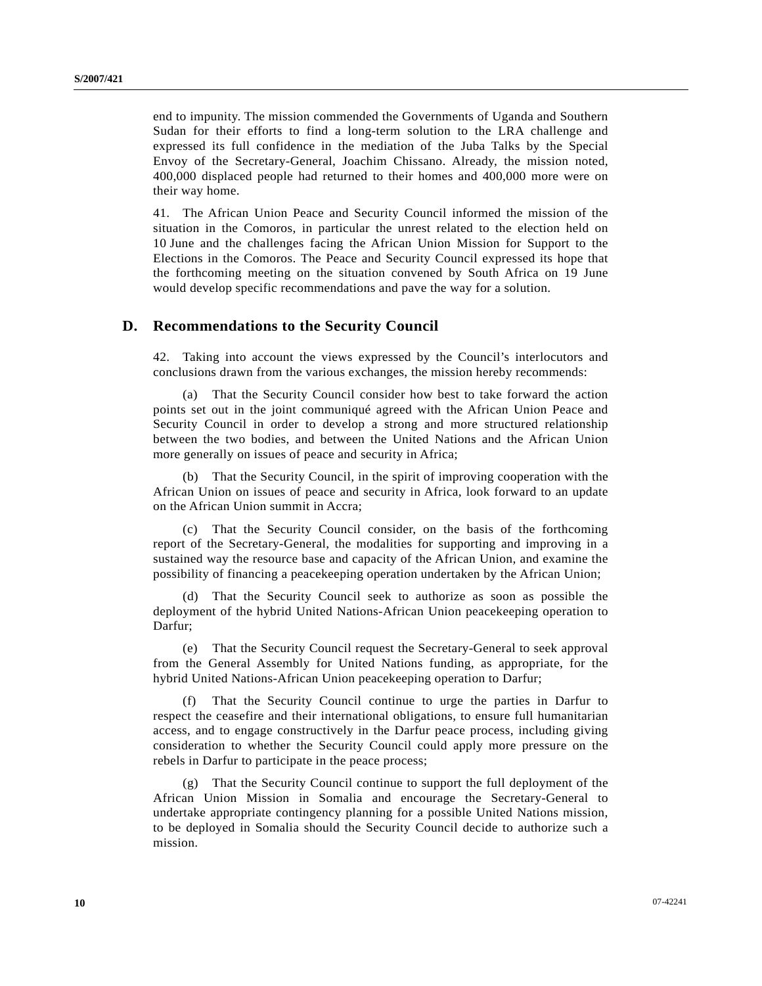end to impunity. The mission commended the Governments of Uganda and Southern Sudan for their efforts to find a long-term solution to the LRA challenge and expressed its full confidence in the mediation of the Juba Talks by the Special Envoy of the Secretary-General, Joachim Chissano. Already, the mission noted, 400,000 displaced people had returned to their homes and 400,000 more were on their way home.

41. The African Union Peace and Security Council informed the mission of the situation in the Comoros, in particular the unrest related to the election held on 10 June and the challenges facing the African Union Mission for Support to the Elections in the Comoros. The Peace and Security Council expressed its hope that the forthcoming meeting on the situation convened by South Africa on 19 June would develop specific recommendations and pave the way for a solution.

#### **D. Recommendations to the Security Council**

42. Taking into account the views expressed by the Council's interlocutors and conclusions drawn from the various exchanges, the mission hereby recommends:

 (a) That the Security Council consider how best to take forward the action points set out in the joint communiqué agreed with the African Union Peace and Security Council in order to develop a strong and more structured relationship between the two bodies, and between the United Nations and the African Union more generally on issues of peace and security in Africa;

 (b) That the Security Council, in the spirit of improving cooperation with the African Union on issues of peace and security in Africa, look forward to an update on the African Union summit in Accra;

 (c) That the Security Council consider, on the basis of the forthcoming report of the Secretary-General, the modalities for supporting and improving in a sustained way the resource base and capacity of the African Union, and examine the possibility of financing a peacekeeping operation undertaken by the African Union;

 (d) That the Security Council seek to authorize as soon as possible the deployment of the hybrid United Nations-African Union peacekeeping operation to Darfur;

 (e) That the Security Council request the Secretary-General to seek approval from the General Assembly for United Nations funding, as appropriate, for the hybrid United Nations-African Union peacekeeping operation to Darfur;

 (f) That the Security Council continue to urge the parties in Darfur to respect the ceasefire and their international obligations, to ensure full humanitarian access, and to engage constructively in the Darfur peace process, including giving consideration to whether the Security Council could apply more pressure on the rebels in Darfur to participate in the peace process;

 (g) That the Security Council continue to support the full deployment of the African Union Mission in Somalia and encourage the Secretary-General to undertake appropriate contingency planning for a possible United Nations mission, to be deployed in Somalia should the Security Council decide to authorize such a mission.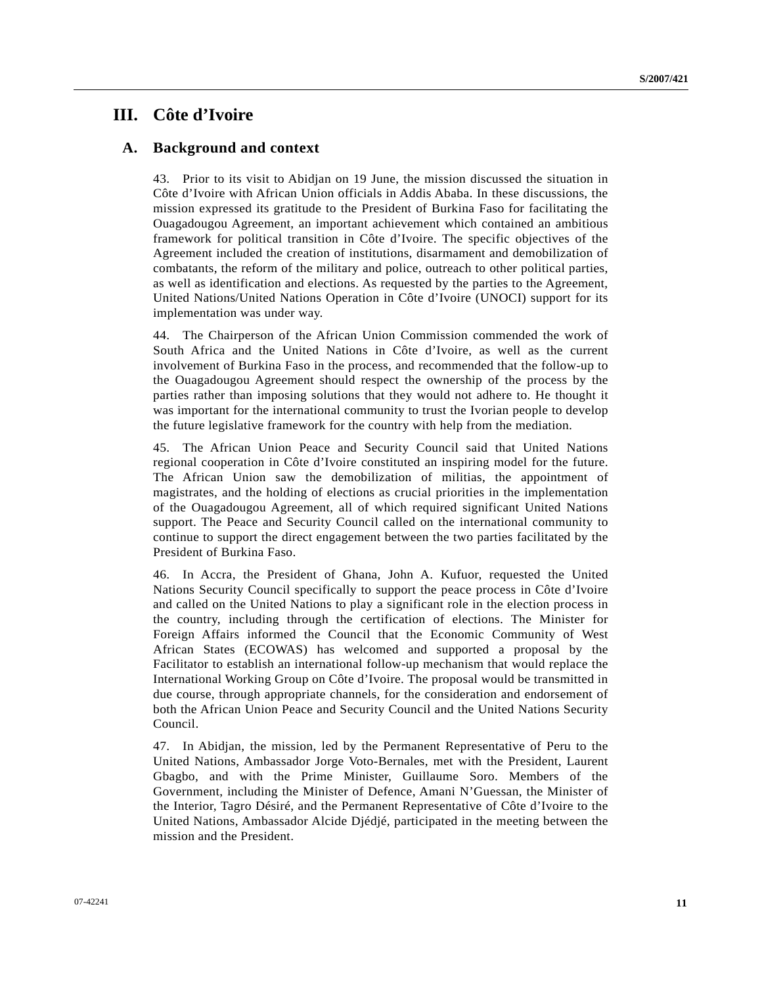## **III. Côte d'Ivoire**

### **A. Background and context**

43. Prior to its visit to Abidjan on 19 June, the mission discussed the situation in Côte d'Ivoire with African Union officials in Addis Ababa. In these discussions, the mission expressed its gratitude to the President of Burkina Faso for facilitating the Ouagadougou Agreement, an important achievement which contained an ambitious framework for political transition in Côte d'Ivoire. The specific objectives of the Agreement included the creation of institutions, disarmament and demobilization of combatants, the reform of the military and police, outreach to other political parties, as well as identification and elections. As requested by the parties to the Agreement, United Nations/United Nations Operation in Côte d'Ivoire (UNOCI) support for its implementation was under way.

44. The Chairperson of the African Union Commission commended the work of South Africa and the United Nations in Côte d'Ivoire, as well as the current involvement of Burkina Faso in the process, and recommended that the follow-up to the Ouagadougou Agreement should respect the ownership of the process by the parties rather than imposing solutions that they would not adhere to. He thought it was important for the international community to trust the Ivorian people to develop the future legislative framework for the country with help from the mediation.

45. The African Union Peace and Security Council said that United Nations regional cooperation in Côte d'Ivoire constituted an inspiring model for the future. The African Union saw the demobilization of militias, the appointment of magistrates, and the holding of elections as crucial priorities in the implementation of the Ouagadougou Agreement, all of which required significant United Nations support. The Peace and Security Council called on the international community to continue to support the direct engagement between the two parties facilitated by the President of Burkina Faso.

46. In Accra, the President of Ghana, John A. Kufuor, requested the United Nations Security Council specifically to support the peace process in Côte d'Ivoire and called on the United Nations to play a significant role in the election process in the country, including through the certification of elections. The Minister for Foreign Affairs informed the Council that the Economic Community of West African States (ECOWAS) has welcomed and supported a proposal by the Facilitator to establish an international follow-up mechanism that would replace the International Working Group on Côte d'Ivoire. The proposal would be transmitted in due course, through appropriate channels, for the consideration and endorsement of both the African Union Peace and Security Council and the United Nations Security Council.

47. In Abidjan, the mission, led by the Permanent Representative of Peru to the United Nations, Ambassador Jorge Voto-Bernales, met with the President, Laurent Gbagbo, and with the Prime Minister, Guillaume Soro. Members of the Government, including the Minister of Defence, Amani N'Guessan, the Minister of the Interior, Tagro Désiré, and the Permanent Representative of Côte d'Ivoire to the United Nations, Ambassador Alcide Djédjé, participated in the meeting between the mission and the President.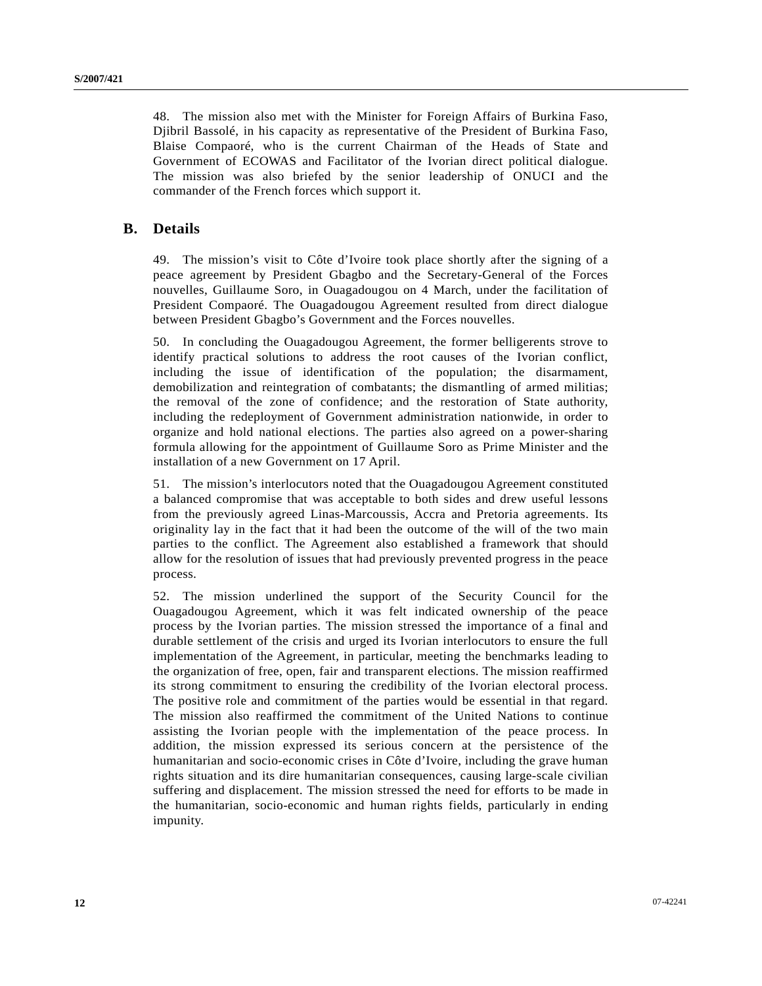48. The mission also met with the Minister for Foreign Affairs of Burkina Faso, Djibril Bassolé, in his capacity as representative of the President of Burkina Faso, Blaise Compaoré, who is the current Chairman of the Heads of State and Government of ECOWAS and Facilitator of the Ivorian direct political dialogue. The mission was also briefed by the senior leadership of ONUCI and the commander of the French forces which support it.

### **B. Details**

49. The mission's visit to Côte d'Ivoire took place shortly after the signing of a peace agreement by President Gbagbo and the Secretary-General of the Forces nouvelles, Guillaume Soro, in Ouagadougou on 4 March, under the facilitation of President Compaoré. The Ouagadougou Agreement resulted from direct dialogue between President Gbagbo's Government and the Forces nouvelles.

50. In concluding the Ouagadougou Agreement, the former belligerents strove to identify practical solutions to address the root causes of the Ivorian conflict, including the issue of identification of the population; the disarmament, demobilization and reintegration of combatants; the dismantling of armed militias; the removal of the zone of confidence; and the restoration of State authority, including the redeployment of Government administration nationwide, in order to organize and hold national elections. The parties also agreed on a power-sharing formula allowing for the appointment of Guillaume Soro as Prime Minister and the installation of a new Government on 17 April.

51. The mission's interlocutors noted that the Ouagadougou Agreement constituted a balanced compromise that was acceptable to both sides and drew useful lessons from the previously agreed Linas-Marcoussis, Accra and Pretoria agreements. Its originality lay in the fact that it had been the outcome of the will of the two main parties to the conflict. The Agreement also established a framework that should allow for the resolution of issues that had previously prevented progress in the peace process.

52. The mission underlined the support of the Security Council for the Ouagadougou Agreement, which it was felt indicated ownership of the peace process by the Ivorian parties. The mission stressed the importance of a final and durable settlement of the crisis and urged its Ivorian interlocutors to ensure the full implementation of the Agreement, in particular, meeting the benchmarks leading to the organization of free, open, fair and transparent elections. The mission reaffirmed its strong commitment to ensuring the credibility of the Ivorian electoral process. The positive role and commitment of the parties would be essential in that regard. The mission also reaffirmed the commitment of the United Nations to continue assisting the Ivorian people with the implementation of the peace process. In addition, the mission expressed its serious concern at the persistence of the humanitarian and socio-economic crises in Côte d'Ivoire, including the grave human rights situation and its dire humanitarian consequences, causing large-scale civilian suffering and displacement. The mission stressed the need for efforts to be made in the humanitarian, socio-economic and human rights fields, particularly in ending impunity.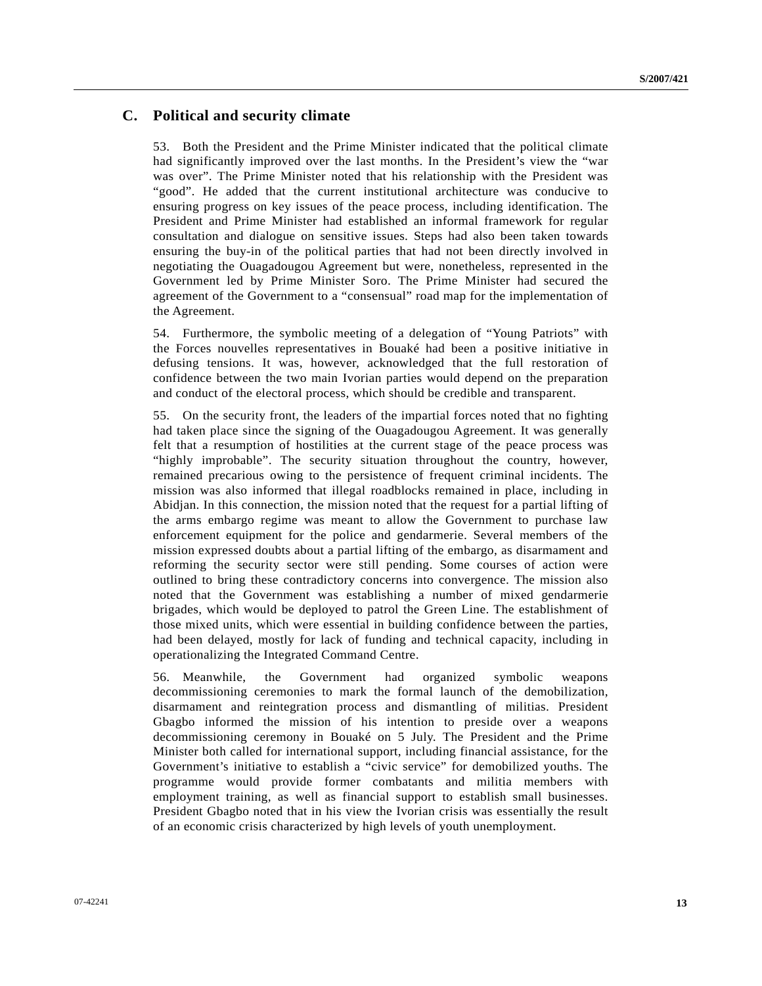## **C. Political and security climate**

53. Both the President and the Prime Minister indicated that the political climate had significantly improved over the last months. In the President's view the "war was over". The Prime Minister noted that his relationship with the President was "good". He added that the current institutional architecture was conducive to ensuring progress on key issues of the peace process, including identification. The President and Prime Minister had established an informal framework for regular consultation and dialogue on sensitive issues. Steps had also been taken towards ensuring the buy-in of the political parties that had not been directly involved in negotiating the Ouagadougou Agreement but were, nonetheless, represented in the Government led by Prime Minister Soro. The Prime Minister had secured the agreement of the Government to a "consensual" road map for the implementation of the Agreement.

54. Furthermore, the symbolic meeting of a delegation of "Young Patriots" with the Forces nouvelles representatives in Bouaké had been a positive initiative in defusing tensions. It was, however, acknowledged that the full restoration of confidence between the two main Ivorian parties would depend on the preparation and conduct of the electoral process, which should be credible and transparent.

55. On the security front, the leaders of the impartial forces noted that no fighting had taken place since the signing of the Ouagadougou Agreement. It was generally felt that a resumption of hostilities at the current stage of the peace process was "highly improbable". The security situation throughout the country, however, remained precarious owing to the persistence of frequent criminal incidents. The mission was also informed that illegal roadblocks remained in place, including in Abidjan. In this connection, the mission noted that the request for a partial lifting of the arms embargo regime was meant to allow the Government to purchase law enforcement equipment for the police and gendarmerie. Several members of the mission expressed doubts about a partial lifting of the embargo, as disarmament and reforming the security sector were still pending. Some courses of action were outlined to bring these contradictory concerns into convergence. The mission also noted that the Government was establishing a number of mixed gendarmerie brigades, which would be deployed to patrol the Green Line. The establishment of those mixed units, which were essential in building confidence between the parties, had been delayed, mostly for lack of funding and technical capacity, including in operationalizing the Integrated Command Centre.

56. Meanwhile, the Government had organized symbolic weapons decommissioning ceremonies to mark the formal launch of the demobilization, disarmament and reintegration process and dismantling of militias. President Gbagbo informed the mission of his intention to preside over a weapons decommissioning ceremony in Bouaké on 5 July. The President and the Prime Minister both called for international support, including financial assistance, for the Government's initiative to establish a "civic service" for demobilized youths. The programme would provide former combatants and militia members with employment training, as well as financial support to establish small businesses. President Gbagbo noted that in his view the Ivorian crisis was essentially the result of an economic crisis characterized by high levels of youth unemployment.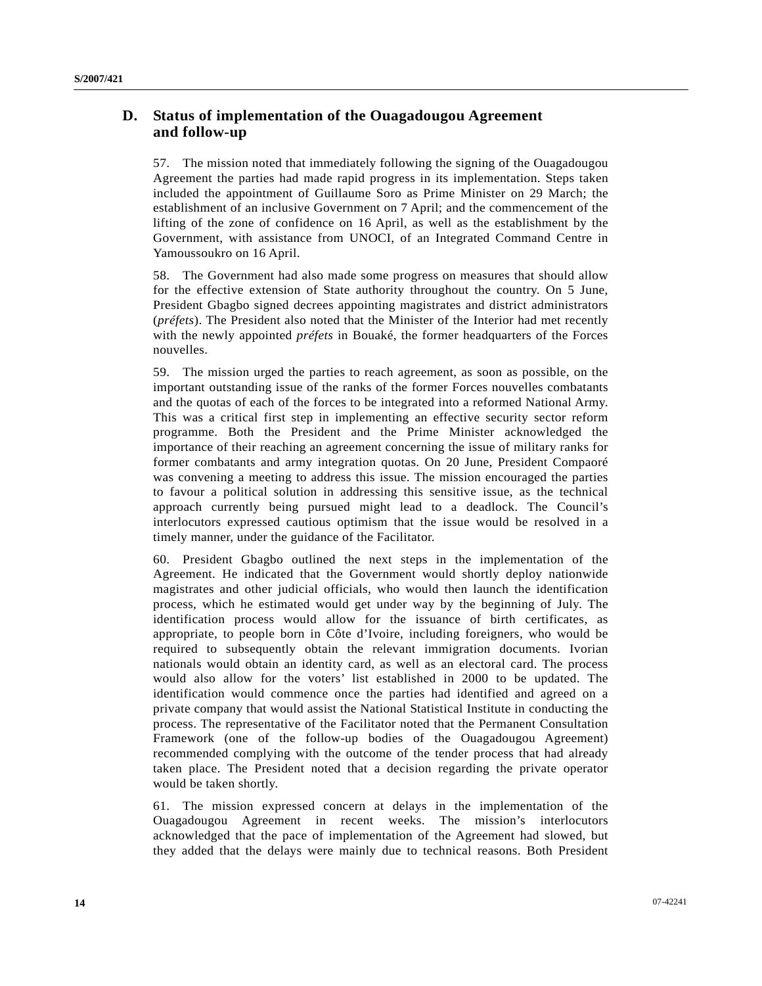## **D. Status of implementation of the Ouagadougou Agreement and follow-up**

57. The mission noted that immediately following the signing of the Ouagadougou Agreement the parties had made rapid progress in its implementation. Steps taken included the appointment of Guillaume Soro as Prime Minister on 29 March; the establishment of an inclusive Government on 7 April; and the commencement of the lifting of the zone of confidence on 16 April, as well as the establishment by the Government, with assistance from UNOCI, of an Integrated Command Centre in Yamoussoukro on 16 April.

58. The Government had also made some progress on measures that should allow for the effective extension of State authority throughout the country. On 5 June, President Gbagbo signed decrees appointing magistrates and district administrators (*préfets*). The President also noted that the Minister of the Interior had met recently with the newly appointed *préfets* in Bouaké, the former headquarters of the Forces nouvelles.

59. The mission urged the parties to reach agreement, as soon as possible, on the important outstanding issue of the ranks of the former Forces nouvelles combatants and the quotas of each of the forces to be integrated into a reformed National Army. This was a critical first step in implementing an effective security sector reform programme. Both the President and the Prime Minister acknowledged the importance of their reaching an agreement concerning the issue of military ranks for former combatants and army integration quotas. On 20 June, President Compaoré was convening a meeting to address this issue. The mission encouraged the parties to favour a political solution in addressing this sensitive issue, as the technical approach currently being pursued might lead to a deadlock. The Council's interlocutors expressed cautious optimism that the issue would be resolved in a timely manner, under the guidance of the Facilitator.

60. President Gbagbo outlined the next steps in the implementation of the Agreement. He indicated that the Government would shortly deploy nationwide magistrates and other judicial officials, who would then launch the identification process, which he estimated would get under way by the beginning of July. The identification process would allow for the issuance of birth certificates, as appropriate, to people born in Côte d'Ivoire, including foreigners, who would be required to subsequently obtain the relevant immigration documents. Ivorian nationals would obtain an identity card, as well as an electoral card. The process would also allow for the voters' list established in 2000 to be updated. The identification would commence once the parties had identified and agreed on a private company that would assist the National Statistical Institute in conducting the process. The representative of the Facilitator noted that the Permanent Consultation Framework (one of the follow-up bodies of the Ouagadougou Agreement) recommended complying with the outcome of the tender process that had already taken place. The President noted that a decision regarding the private operator would be taken shortly.

61. The mission expressed concern at delays in the implementation of the Ouagadougou Agreement in recent weeks. The mission's interlocutors acknowledged that the pace of implementation of the Agreement had slowed, but they added that the delays were mainly due to technical reasons. Both President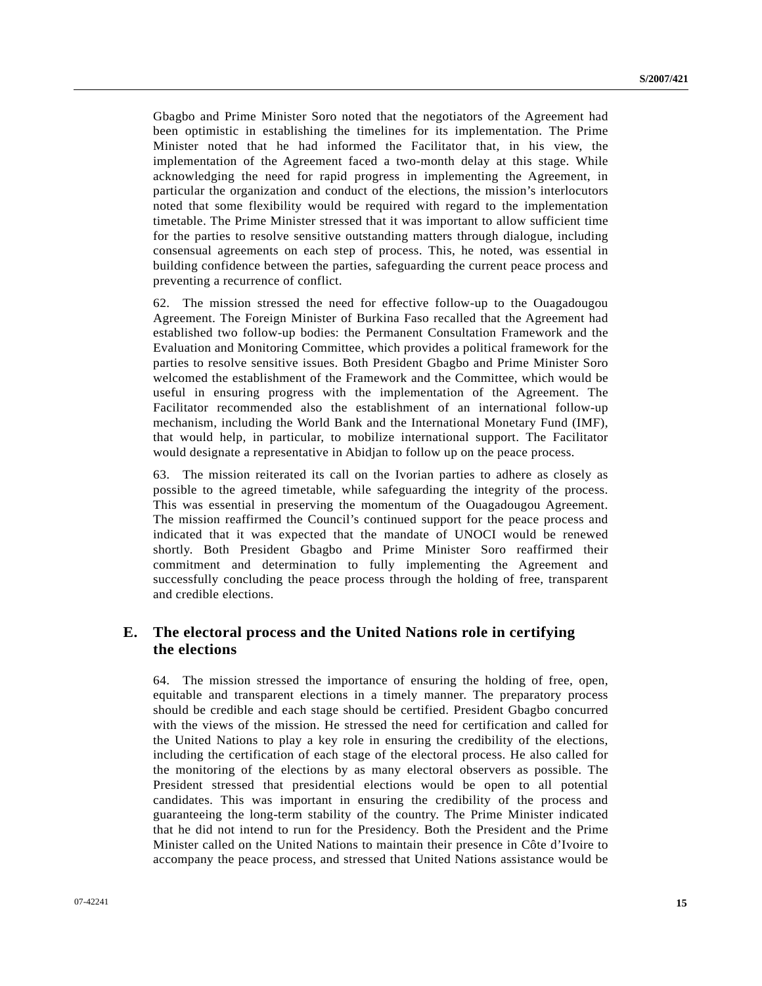Gbagbo and Prime Minister Soro noted that the negotiators of the Agreement had been optimistic in establishing the timelines for its implementation. The Prime Minister noted that he had informed the Facilitator that, in his view, the implementation of the Agreement faced a two-month delay at this stage. While acknowledging the need for rapid progress in implementing the Agreement, in particular the organization and conduct of the elections, the mission's interlocutors noted that some flexibility would be required with regard to the implementation timetable. The Prime Minister stressed that it was important to allow sufficient time for the parties to resolve sensitive outstanding matters through dialogue, including consensual agreements on each step of process. This, he noted, was essential in building confidence between the parties, safeguarding the current peace process and preventing a recurrence of conflict.

62. The mission stressed the need for effective follow-up to the Ouagadougou Agreement. The Foreign Minister of Burkina Faso recalled that the Agreement had established two follow-up bodies: the Permanent Consultation Framework and the Evaluation and Monitoring Committee, which provides a political framework for the parties to resolve sensitive issues. Both President Gbagbo and Prime Minister Soro welcomed the establishment of the Framework and the Committee, which would be useful in ensuring progress with the implementation of the Agreement. The Facilitator recommended also the establishment of an international follow-up mechanism, including the World Bank and the International Monetary Fund (IMF), that would help, in particular, to mobilize international support. The Facilitator would designate a representative in Abidjan to follow up on the peace process.

63. The mission reiterated its call on the Ivorian parties to adhere as closely as possible to the agreed timetable, while safeguarding the integrity of the process. This was essential in preserving the momentum of the Ouagadougou Agreement. The mission reaffirmed the Council's continued support for the peace process and indicated that it was expected that the mandate of UNOCI would be renewed shortly. Both President Gbagbo and Prime Minister Soro reaffirmed their commitment and determination to fully implementing the Agreement and successfully concluding the peace process through the holding of free, transparent and credible elections.

## **E. The electoral process and the United Nations role in certifying the elections**

64. The mission stressed the importance of ensuring the holding of free, open, equitable and transparent elections in a timely manner. The preparatory process should be credible and each stage should be certified. President Gbagbo concurred with the views of the mission. He stressed the need for certification and called for the United Nations to play a key role in ensuring the credibility of the elections, including the certification of each stage of the electoral process. He also called for the monitoring of the elections by as many electoral observers as possible. The President stressed that presidential elections would be open to all potential candidates. This was important in ensuring the credibility of the process and guaranteeing the long-term stability of the country. The Prime Minister indicated that he did not intend to run for the Presidency. Both the President and the Prime Minister called on the United Nations to maintain their presence in Côte d'Ivoire to accompany the peace process, and stressed that United Nations assistance would be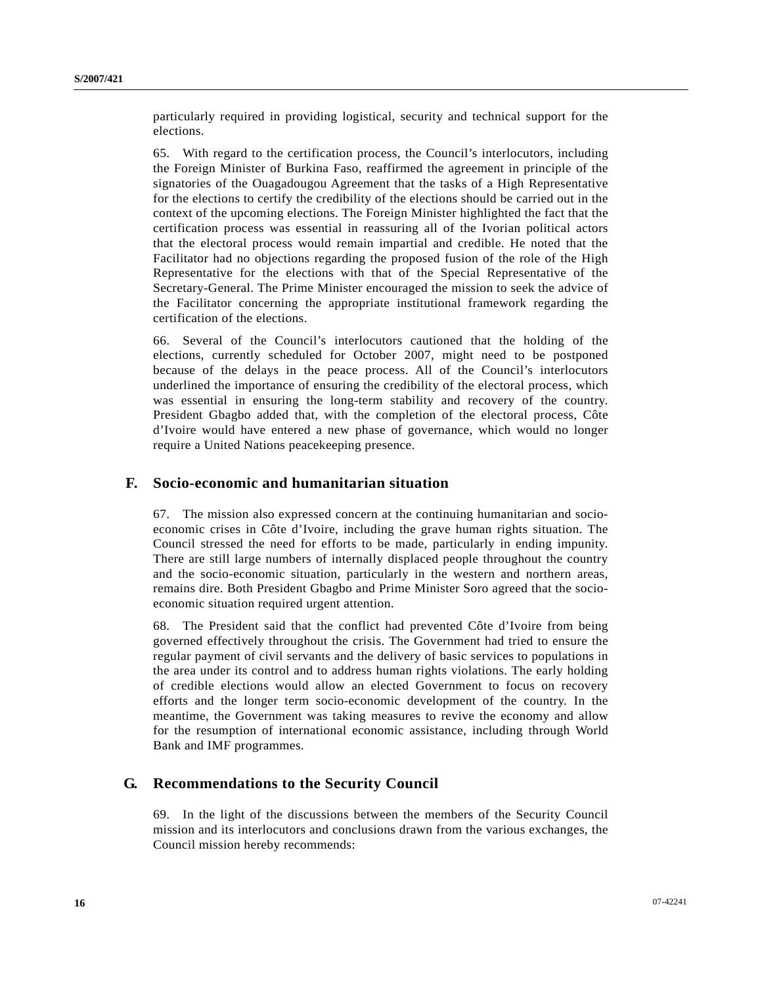particularly required in providing logistical, security and technical support for the elections.

65. With regard to the certification process, the Council's interlocutors, including the Foreign Minister of Burkina Faso, reaffirmed the agreement in principle of the signatories of the Ouagadougou Agreement that the tasks of a High Representative for the elections to certify the credibility of the elections should be carried out in the context of the upcoming elections. The Foreign Minister highlighted the fact that the certification process was essential in reassuring all of the Ivorian political actors that the electoral process would remain impartial and credible. He noted that the Facilitator had no objections regarding the proposed fusion of the role of the High Representative for the elections with that of the Special Representative of the Secretary-General. The Prime Minister encouraged the mission to seek the advice of the Facilitator concerning the appropriate institutional framework regarding the certification of the elections.

66. Several of the Council's interlocutors cautioned that the holding of the elections, currently scheduled for October 2007, might need to be postponed because of the delays in the peace process. All of the Council's interlocutors underlined the importance of ensuring the credibility of the electoral process, which was essential in ensuring the long-term stability and recovery of the country. President Gbagbo added that, with the completion of the electoral process, Côte d'Ivoire would have entered a new phase of governance, which would no longer require a United Nations peacekeeping presence.

## **F. Socio-economic and humanitarian situation**

67. The mission also expressed concern at the continuing humanitarian and socioeconomic crises in Côte d'Ivoire, including the grave human rights situation. The Council stressed the need for efforts to be made, particularly in ending impunity. There are still large numbers of internally displaced people throughout the country and the socio-economic situation, particularly in the western and northern areas, remains dire. Both President Gbagbo and Prime Minister Soro agreed that the socioeconomic situation required urgent attention.

68. The President said that the conflict had prevented Côte d'Ivoire from being governed effectively throughout the crisis. The Government had tried to ensure the regular payment of civil servants and the delivery of basic services to populations in the area under its control and to address human rights violations. The early holding of credible elections would allow an elected Government to focus on recovery efforts and the longer term socio-economic development of the country. In the meantime, the Government was taking measures to revive the economy and allow for the resumption of international economic assistance, including through World Bank and IMF programmes.

### **G. Recommendations to the Security Council**

69. In the light of the discussions between the members of the Security Council mission and its interlocutors and conclusions drawn from the various exchanges, the Council mission hereby recommends: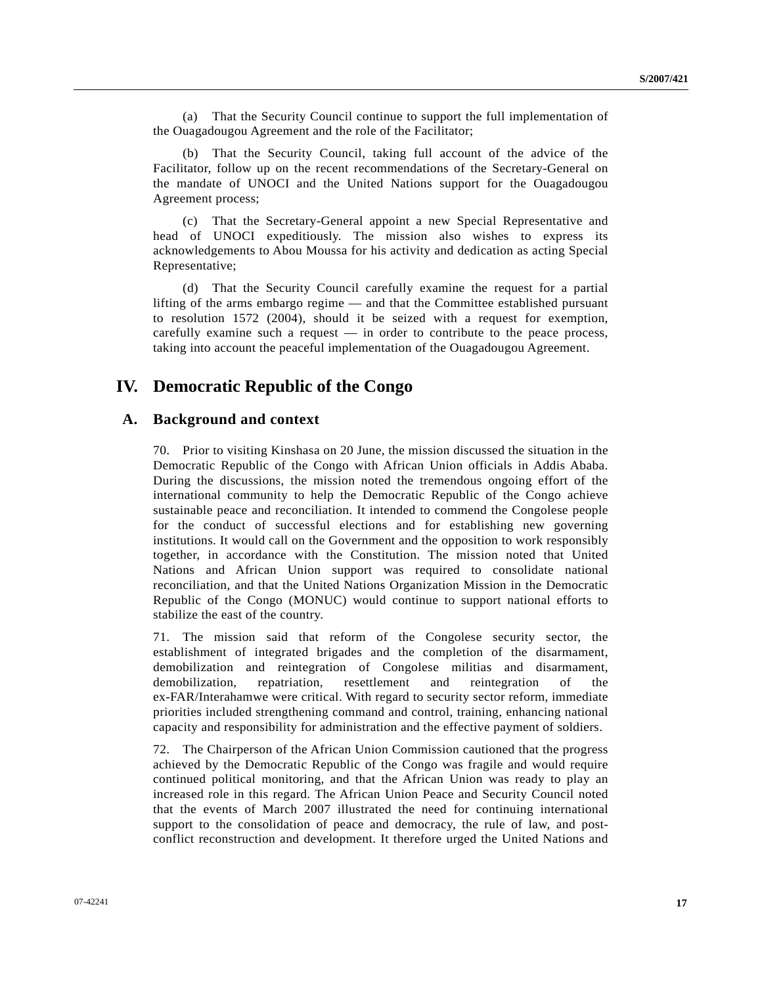(a) That the Security Council continue to support the full implementation of the Ouagadougou Agreement and the role of the Facilitator;

 (b) That the Security Council, taking full account of the advice of the Facilitator, follow up on the recent recommendations of the Secretary-General on the mandate of UNOCI and the United Nations support for the Ouagadougou Agreement process;

 (c) That the Secretary-General appoint a new Special Representative and head of UNOCI expeditiously. The mission also wishes to express its acknowledgements to Abou Moussa for his activity and dedication as acting Special Representative;

 (d) That the Security Council carefully examine the request for a partial lifting of the arms embargo regime — and that the Committee established pursuant to resolution 1572 (2004), should it be seized with a request for exemption, carefully examine such a request — in order to contribute to the peace process, taking into account the peaceful implementation of the Ouagadougou Agreement.

## **IV. Democratic Republic of the Congo**

## **A. Background and context**

70. Prior to visiting Kinshasa on 20 June, the mission discussed the situation in the Democratic Republic of the Congo with African Union officials in Addis Ababa. During the discussions, the mission noted the tremendous ongoing effort of the international community to help the Democratic Republic of the Congo achieve sustainable peace and reconciliation. It intended to commend the Congolese people for the conduct of successful elections and for establishing new governing institutions. It would call on the Government and the opposition to work responsibly together, in accordance with the Constitution. The mission noted that United Nations and African Union support was required to consolidate national reconciliation, and that the United Nations Organization Mission in the Democratic Republic of the Congo (MONUC) would continue to support national efforts to stabilize the east of the country.

71. The mission said that reform of the Congolese security sector, the establishment of integrated brigades and the completion of the disarmament, demobilization and reintegration of Congolese militias and disarmament, demobilization, repatriation, resettlement and reintegration of the ex-FAR/Interahamwe were critical. With regard to security sector reform, immediate priorities included strengthening command and control, training, enhancing national capacity and responsibility for administration and the effective payment of soldiers.

72. The Chairperson of the African Union Commission cautioned that the progress achieved by the Democratic Republic of the Congo was fragile and would require continued political monitoring, and that the African Union was ready to play an increased role in this regard. The African Union Peace and Security Council noted that the events of March 2007 illustrated the need for continuing international support to the consolidation of peace and democracy, the rule of law, and postconflict reconstruction and development. It therefore urged the United Nations and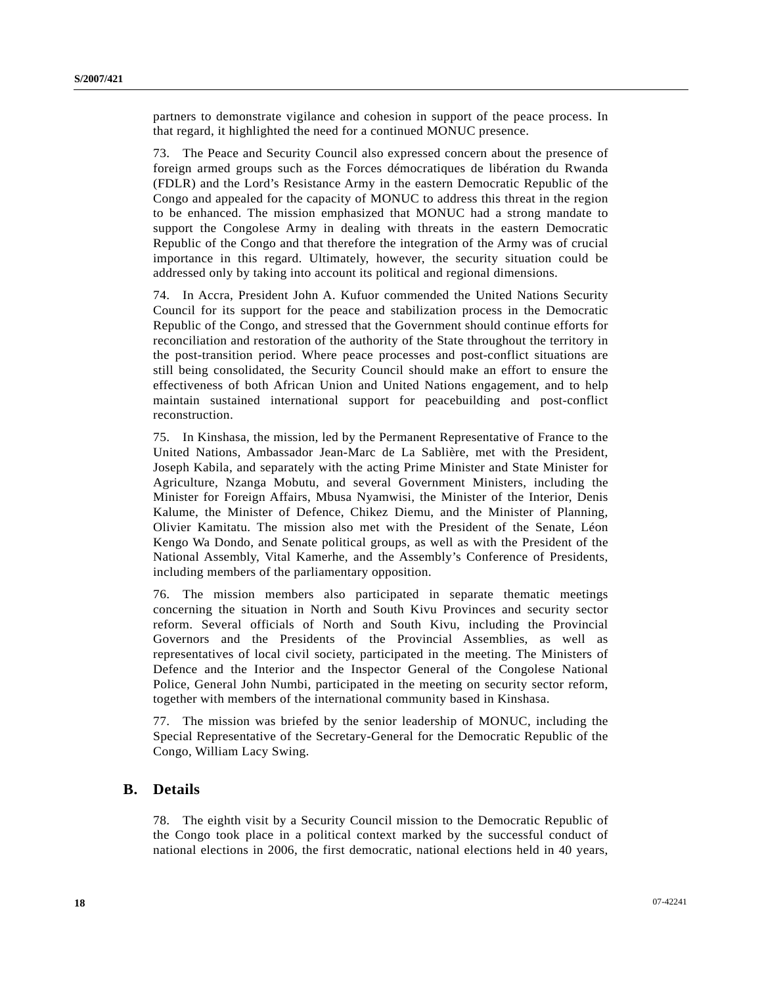partners to demonstrate vigilance and cohesion in support of the peace process. In that regard, it highlighted the need for a continued MONUC presence.

73. The Peace and Security Council also expressed concern about the presence of foreign armed groups such as the Forces démocratiques de libération du Rwanda (FDLR) and the Lord's Resistance Army in the eastern Democratic Republic of the Congo and appealed for the capacity of MONUC to address this threat in the region to be enhanced. The mission emphasized that MONUC had a strong mandate to support the Congolese Army in dealing with threats in the eastern Democratic Republic of the Congo and that therefore the integration of the Army was of crucial importance in this regard. Ultimately, however, the security situation could be addressed only by taking into account its political and regional dimensions.

74. In Accra, President John A. Kufuor commended the United Nations Security Council for its support for the peace and stabilization process in the Democratic Republic of the Congo, and stressed that the Government should continue efforts for reconciliation and restoration of the authority of the State throughout the territory in the post-transition period. Where peace processes and post-conflict situations are still being consolidated, the Security Council should make an effort to ensure the effectiveness of both African Union and United Nations engagement, and to help maintain sustained international support for peacebuilding and post-conflict reconstruction.

75. In Kinshasa, the mission, led by the Permanent Representative of France to the United Nations, Ambassador Jean-Marc de La Sablière, met with the President, Joseph Kabila, and separately with the acting Prime Minister and State Minister for Agriculture, Nzanga Mobutu, and several Government Ministers, including the Minister for Foreign Affairs, Mbusa Nyamwisi, the Minister of the Interior, Denis Kalume, the Minister of Defence, Chikez Diemu, and the Minister of Planning, Olivier Kamitatu. The mission also met with the President of the Senate, Léon Kengo Wa Dondo, and Senate political groups, as well as with the President of the National Assembly, Vital Kamerhe, and the Assembly's Conference of Presidents, including members of the parliamentary opposition.

76. The mission members also participated in separate thematic meetings concerning the situation in North and South Kivu Provinces and security sector reform. Several officials of North and South Kivu, including the Provincial Governors and the Presidents of the Provincial Assemblies, as well as representatives of local civil society, participated in the meeting. The Ministers of Defence and the Interior and the Inspector General of the Congolese National Police, General John Numbi, participated in the meeting on security sector reform, together with members of the international community based in Kinshasa.

77. The mission was briefed by the senior leadership of MONUC, including the Special Representative of the Secretary-General for the Democratic Republic of the Congo, William Lacy Swing.

## **B. Details**

78. The eighth visit by a Security Council mission to the Democratic Republic of the Congo took place in a political context marked by the successful conduct of national elections in 2006, the first democratic, national elections held in 40 years,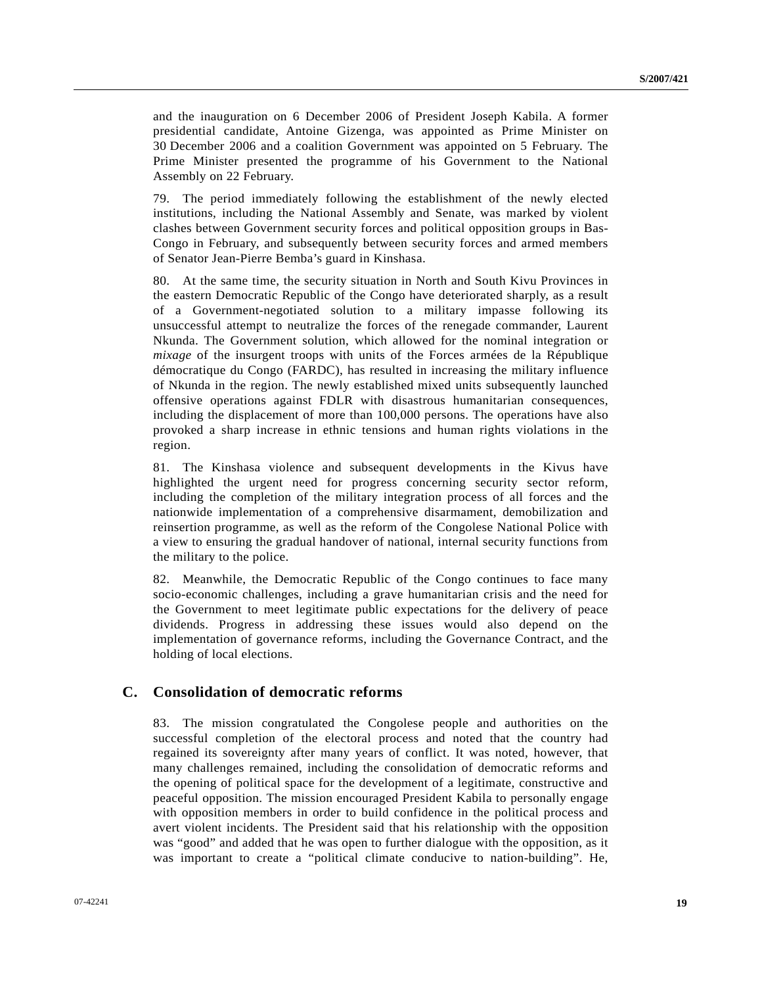and the inauguration on 6 December 2006 of President Joseph Kabila. A former presidential candidate, Antoine Gizenga, was appointed as Prime Minister on 30 December 2006 and a coalition Government was appointed on 5 February. The Prime Minister presented the programme of his Government to the National Assembly on 22 February.

79. The period immediately following the establishment of the newly elected institutions, including the National Assembly and Senate, was marked by violent clashes between Government security forces and political opposition groups in Bas-Congo in February, and subsequently between security forces and armed members of Senator Jean-Pierre Bemba's guard in Kinshasa.

80. At the same time, the security situation in North and South Kivu Provinces in the eastern Democratic Republic of the Congo have deteriorated sharply, as a result of a Government-negotiated solution to a military impasse following its unsuccessful attempt to neutralize the forces of the renegade commander, Laurent Nkunda. The Government solution, which allowed for the nominal integration or *mixage* of the insurgent troops with units of the Forces armées de la République démocratique du Congo (FARDC), has resulted in increasing the military influence of Nkunda in the region. The newly established mixed units subsequently launched offensive operations against FDLR with disastrous humanitarian consequences, including the displacement of more than 100,000 persons. The operations have also provoked a sharp increase in ethnic tensions and human rights violations in the region.

81. The Kinshasa violence and subsequent developments in the Kivus have highlighted the urgent need for progress concerning security sector reform, including the completion of the military integration process of all forces and the nationwide implementation of a comprehensive disarmament, demobilization and reinsertion programme, as well as the reform of the Congolese National Police with a view to ensuring the gradual handover of national, internal security functions from the military to the police.

82. Meanwhile, the Democratic Republic of the Congo continues to face many socio-economic challenges, including a grave humanitarian crisis and the need for the Government to meet legitimate public expectations for the delivery of peace dividends. Progress in addressing these issues would also depend on the implementation of governance reforms, including the Governance Contract, and the holding of local elections.

## **C. Consolidation of democratic reforms**

83. The mission congratulated the Congolese people and authorities on the successful completion of the electoral process and noted that the country had regained its sovereignty after many years of conflict. It was noted, however, that many challenges remained, including the consolidation of democratic reforms and the opening of political space for the development of a legitimate, constructive and peaceful opposition. The mission encouraged President Kabila to personally engage with opposition members in order to build confidence in the political process and avert violent incidents. The President said that his relationship with the opposition was "good" and added that he was open to further dialogue with the opposition, as it was important to create a "political climate conducive to nation-building". He,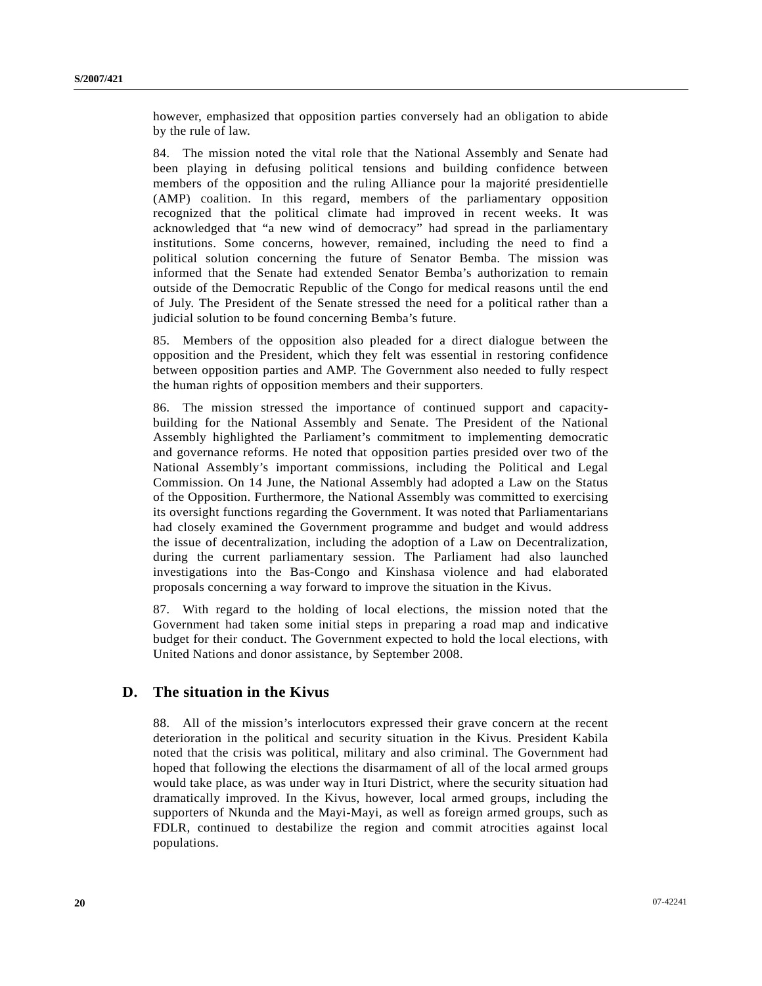however, emphasized that opposition parties conversely had an obligation to abide by the rule of law.

84. The mission noted the vital role that the National Assembly and Senate had been playing in defusing political tensions and building confidence between members of the opposition and the ruling Alliance pour la majorité presidentielle (AMP) coalition. In this regard, members of the parliamentary opposition recognized that the political climate had improved in recent weeks. It was acknowledged that "a new wind of democracy" had spread in the parliamentary institutions. Some concerns, however, remained, including the need to find a political solution concerning the future of Senator Bemba. The mission was informed that the Senate had extended Senator Bemba's authorization to remain outside of the Democratic Republic of the Congo for medical reasons until the end of July. The President of the Senate stressed the need for a political rather than a judicial solution to be found concerning Bemba's future.

85. Members of the opposition also pleaded for a direct dialogue between the opposition and the President, which they felt was essential in restoring confidence between opposition parties and AMP. The Government also needed to fully respect the human rights of opposition members and their supporters.

86. The mission stressed the importance of continued support and capacitybuilding for the National Assembly and Senate. The President of the National Assembly highlighted the Parliament's commitment to implementing democratic and governance reforms. He noted that opposition parties presided over two of the National Assembly's important commissions, including the Political and Legal Commission. On 14 June, the National Assembly had adopted a Law on the Status of the Opposition. Furthermore, the National Assembly was committed to exercising its oversight functions regarding the Government. It was noted that Parliamentarians had closely examined the Government programme and budget and would address the issue of decentralization, including the adoption of a Law on Decentralization, during the current parliamentary session. The Parliament had also launched investigations into the Bas-Congo and Kinshasa violence and had elaborated proposals concerning a way forward to improve the situation in the Kivus.

87. With regard to the holding of local elections, the mission noted that the Government had taken some initial steps in preparing a road map and indicative budget for their conduct. The Government expected to hold the local elections, with United Nations and donor assistance, by September 2008.

## **D. The situation in the Kivus**

88. All of the mission's interlocutors expressed their grave concern at the recent deterioration in the political and security situation in the Kivus. President Kabila noted that the crisis was political, military and also criminal. The Government had hoped that following the elections the disarmament of all of the local armed groups would take place, as was under way in Ituri District, where the security situation had dramatically improved. In the Kivus, however, local armed groups, including the supporters of Nkunda and the Mayi-Mayi, as well as foreign armed groups, such as FDLR, continued to destabilize the region and commit atrocities against local populations.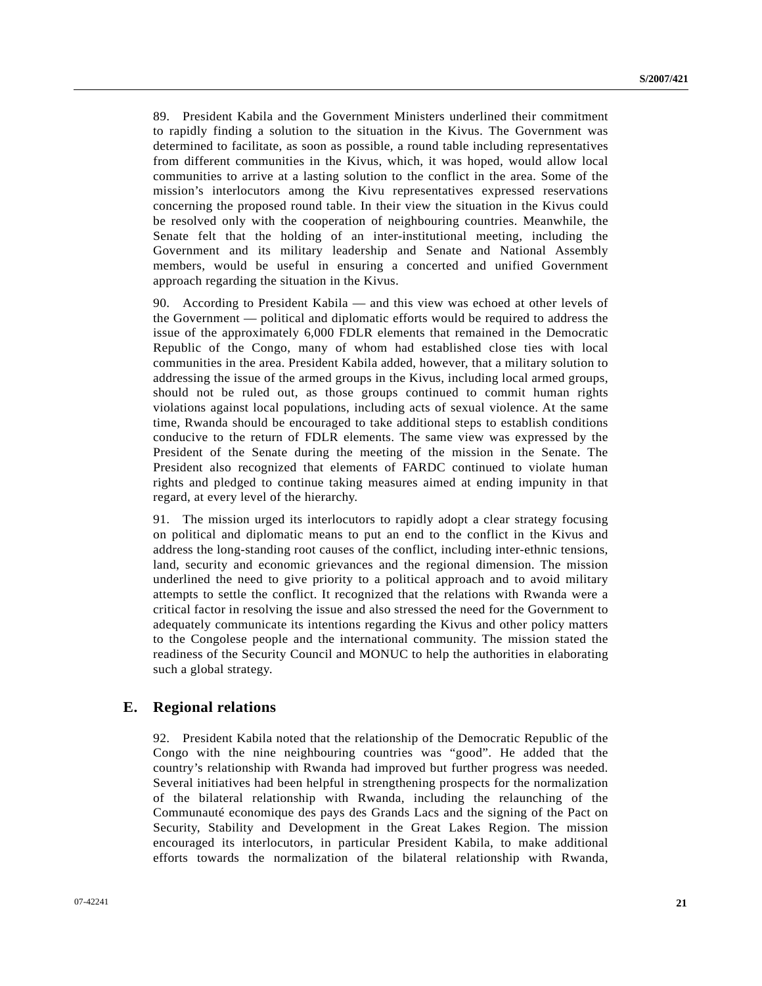89. President Kabila and the Government Ministers underlined their commitment to rapidly finding a solution to the situation in the Kivus. The Government was determined to facilitate, as soon as possible, a round table including representatives from different communities in the Kivus, which, it was hoped, would allow local communities to arrive at a lasting solution to the conflict in the area. Some of the mission's interlocutors among the Kivu representatives expressed reservations concerning the proposed round table. In their view the situation in the Kivus could be resolved only with the cooperation of neighbouring countries. Meanwhile, the Senate felt that the holding of an inter-institutional meeting, including the Government and its military leadership and Senate and National Assembly members, would be useful in ensuring a concerted and unified Government approach regarding the situation in the Kivus.

90. According to President Kabila — and this view was echoed at other levels of the Government — political and diplomatic efforts would be required to address the issue of the approximately 6,000 FDLR elements that remained in the Democratic Republic of the Congo, many of whom had established close ties with local communities in the area. President Kabila added, however, that a military solution to addressing the issue of the armed groups in the Kivus, including local armed groups, should not be ruled out, as those groups continued to commit human rights violations against local populations, including acts of sexual violence. At the same time, Rwanda should be encouraged to take additional steps to establish conditions conducive to the return of FDLR elements. The same view was expressed by the President of the Senate during the meeting of the mission in the Senate. The President also recognized that elements of FARDC continued to violate human rights and pledged to continue taking measures aimed at ending impunity in that regard, at every level of the hierarchy.

91. The mission urged its interlocutors to rapidly adopt a clear strategy focusing on political and diplomatic means to put an end to the conflict in the Kivus and address the long-standing root causes of the conflict, including inter-ethnic tensions, land, security and economic grievances and the regional dimension. The mission underlined the need to give priority to a political approach and to avoid military attempts to settle the conflict. It recognized that the relations with Rwanda were a critical factor in resolving the issue and also stressed the need for the Government to adequately communicate its intentions regarding the Kivus and other policy matters to the Congolese people and the international community. The mission stated the readiness of the Security Council and MONUC to help the authorities in elaborating such a global strategy.

### **E. Regional relations**

92. President Kabila noted that the relationship of the Democratic Republic of the Congo with the nine neighbouring countries was "good". He added that the country's relationship with Rwanda had improved but further progress was needed. Several initiatives had been helpful in strengthening prospects for the normalization of the bilateral relationship with Rwanda, including the relaunching of the Communauté economique des pays des Grands Lacs and the signing of the Pact on Security, Stability and Development in the Great Lakes Region. The mission encouraged its interlocutors, in particular President Kabila, to make additional efforts towards the normalization of the bilateral relationship with Rwanda,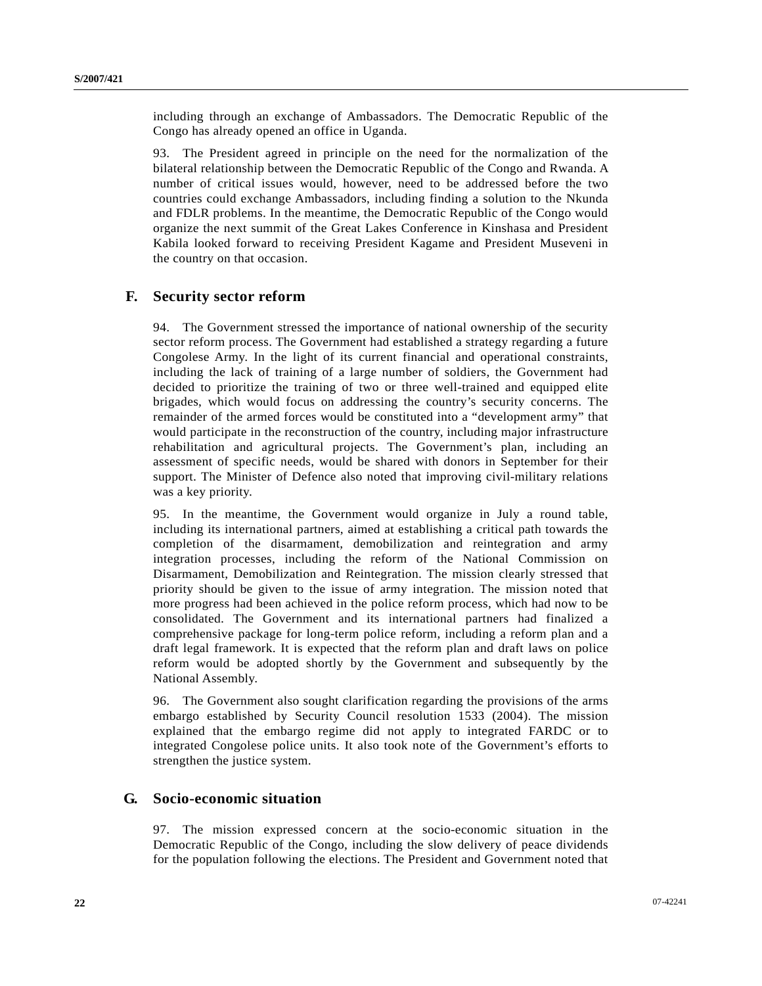including through an exchange of Ambassadors. The Democratic Republic of the Congo has already opened an office in Uganda.

93. The President agreed in principle on the need for the normalization of the bilateral relationship between the Democratic Republic of the Congo and Rwanda. A number of critical issues would, however, need to be addressed before the two countries could exchange Ambassadors, including finding a solution to the Nkunda and FDLR problems. In the meantime, the Democratic Republic of the Congo would organize the next summit of the Great Lakes Conference in Kinshasa and President Kabila looked forward to receiving President Kagame and President Museveni in the country on that occasion.

## **F. Security sector reform**

94. The Government stressed the importance of national ownership of the security sector reform process. The Government had established a strategy regarding a future Congolese Army. In the light of its current financial and operational constraints, including the lack of training of a large number of soldiers, the Government had decided to prioritize the training of two or three well-trained and equipped elite brigades, which would focus on addressing the country's security concerns. The remainder of the armed forces would be constituted into a "development army" that would participate in the reconstruction of the country, including major infrastructure rehabilitation and agricultural projects. The Government's plan, including an assessment of specific needs, would be shared with donors in September for their support. The Minister of Defence also noted that improving civil-military relations was a key priority.

95. In the meantime, the Government would organize in July a round table, including its international partners, aimed at establishing a critical path towards the completion of the disarmament, demobilization and reintegration and army integration processes, including the reform of the National Commission on Disarmament, Demobilization and Reintegration. The mission clearly stressed that priority should be given to the issue of army integration. The mission noted that more progress had been achieved in the police reform process, which had now to be consolidated. The Government and its international partners had finalized a comprehensive package for long-term police reform, including a reform plan and a draft legal framework. It is expected that the reform plan and draft laws on police reform would be adopted shortly by the Government and subsequently by the National Assembly.

96. The Government also sought clarification regarding the provisions of the arms embargo established by Security Council resolution 1533 (2004). The mission explained that the embargo regime did not apply to integrated FARDC or to integrated Congolese police units. It also took note of the Government's efforts to strengthen the justice system.

### **G. Socio-economic situation**

97. The mission expressed concern at the socio-economic situation in the Democratic Republic of the Congo, including the slow delivery of peace dividends for the population following the elections. The President and Government noted that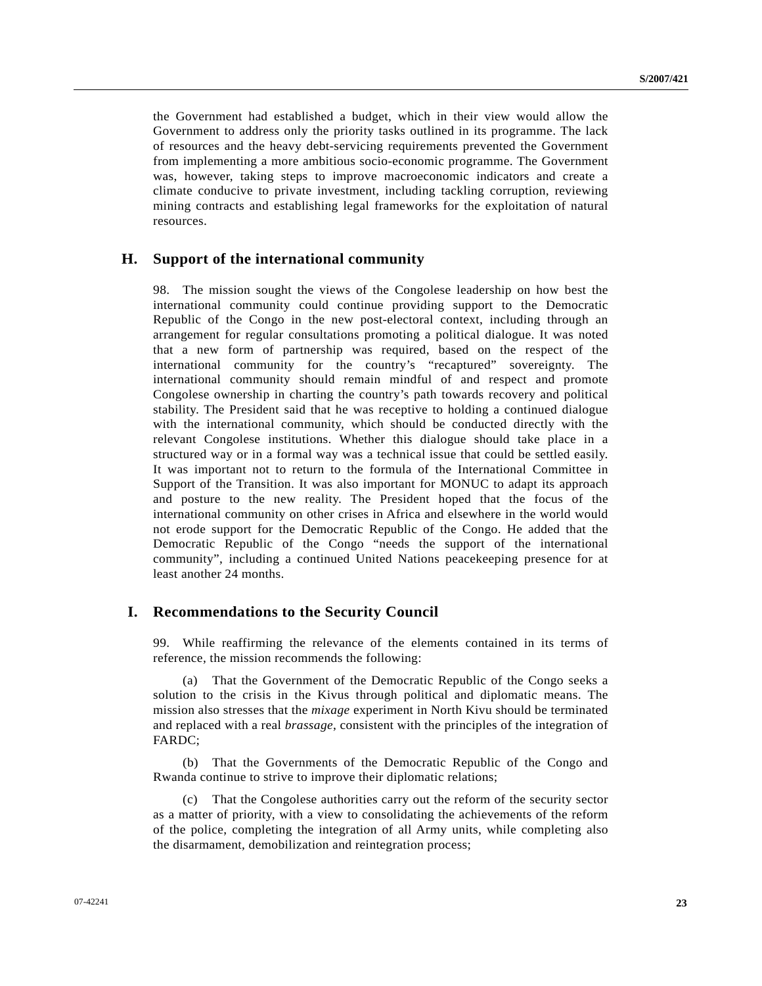the Government had established a budget, which in their view would allow the Government to address only the priority tasks outlined in its programme. The lack of resources and the heavy debt-servicing requirements prevented the Government from implementing a more ambitious socio-economic programme. The Government was, however, taking steps to improve macroeconomic indicators and create a climate conducive to private investment, including tackling corruption, reviewing mining contracts and establishing legal frameworks for the exploitation of natural resources.

#### **H. Support of the international community**

98. The mission sought the views of the Congolese leadership on how best the international community could continue providing support to the Democratic Republic of the Congo in the new post-electoral context, including through an arrangement for regular consultations promoting a political dialogue. It was noted that a new form of partnership was required, based on the respect of the international community for the country's "recaptured" sovereignty. The international community should remain mindful of and respect and promote Congolese ownership in charting the country's path towards recovery and political stability. The President said that he was receptive to holding a continued dialogue with the international community, which should be conducted directly with the relevant Congolese institutions. Whether this dialogue should take place in a structured way or in a formal way was a technical issue that could be settled easily. It was important not to return to the formula of the International Committee in Support of the Transition. It was also important for MONUC to adapt its approach and posture to the new reality. The President hoped that the focus of the international community on other crises in Africa and elsewhere in the world would not erode support for the Democratic Republic of the Congo. He added that the Democratic Republic of the Congo "needs the support of the international community", including a continued United Nations peacekeeping presence for at least another 24 months.

### **I. Recommendations to the Security Council**

99. While reaffirming the relevance of the elements contained in its terms of reference, the mission recommends the following:

 (a) That the Government of the Democratic Republic of the Congo seeks a solution to the crisis in the Kivus through political and diplomatic means. The mission also stresses that the *mixage* experiment in North Kivu should be terminated and replaced with a real *brassage*, consistent with the principles of the integration of FARDC;

 (b) That the Governments of the Democratic Republic of the Congo and Rwanda continue to strive to improve their diplomatic relations;

 (c) That the Congolese authorities carry out the reform of the security sector as a matter of priority, with a view to consolidating the achievements of the reform of the police, completing the integration of all Army units, while completing also the disarmament, demobilization and reintegration process;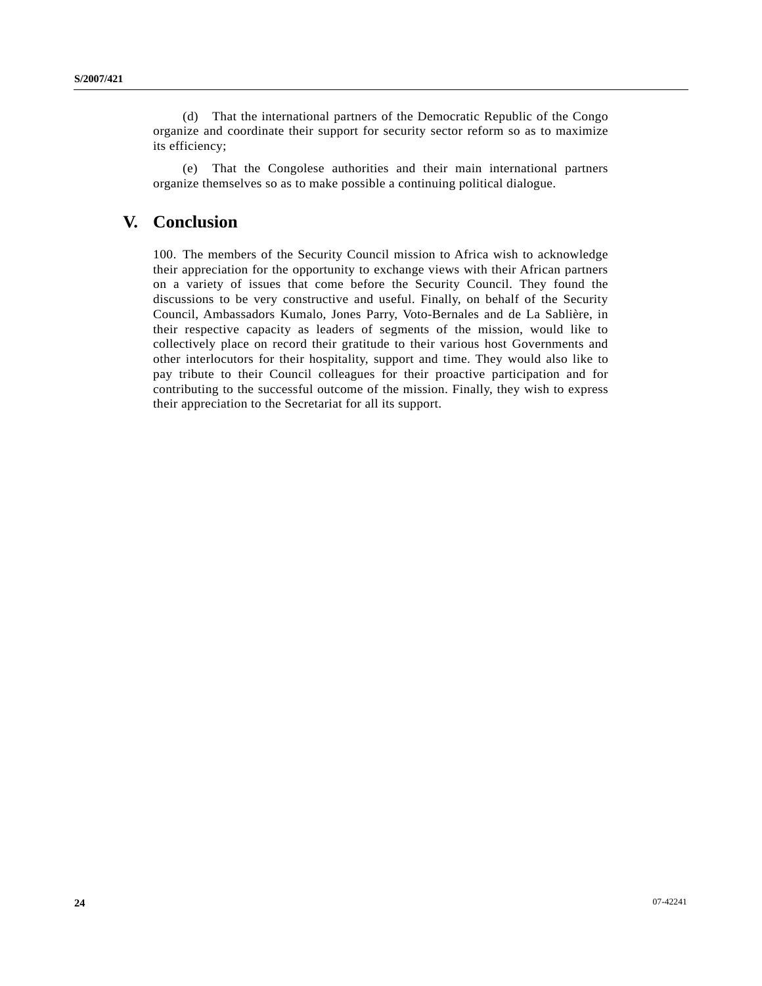(d) That the international partners of the Democratic Republic of the Congo organize and coordinate their support for security sector reform so as to maximize its efficiency;

 (e) That the Congolese authorities and their main international partners organize themselves so as to make possible a continuing political dialogue.

## **V. Conclusion**

100. The members of the Security Council mission to Africa wish to acknowledge their appreciation for the opportunity to exchange views with their African partners on a variety of issues that come before the Security Council. They found the discussions to be very constructive and useful. Finally, on behalf of the Security Council, Ambassadors Kumalo, Jones Parry, Voto-Bernales and de La Sablière, in their respective capacity as leaders of segments of the mission, would like to collectively place on record their gratitude to their various host Governments and other interlocutors for their hospitality, support and time. They would also like to pay tribute to their Council colleagues for their proactive participation and for contributing to the successful outcome of the mission. Finally, they wish to express their appreciation to the Secretariat for all its support.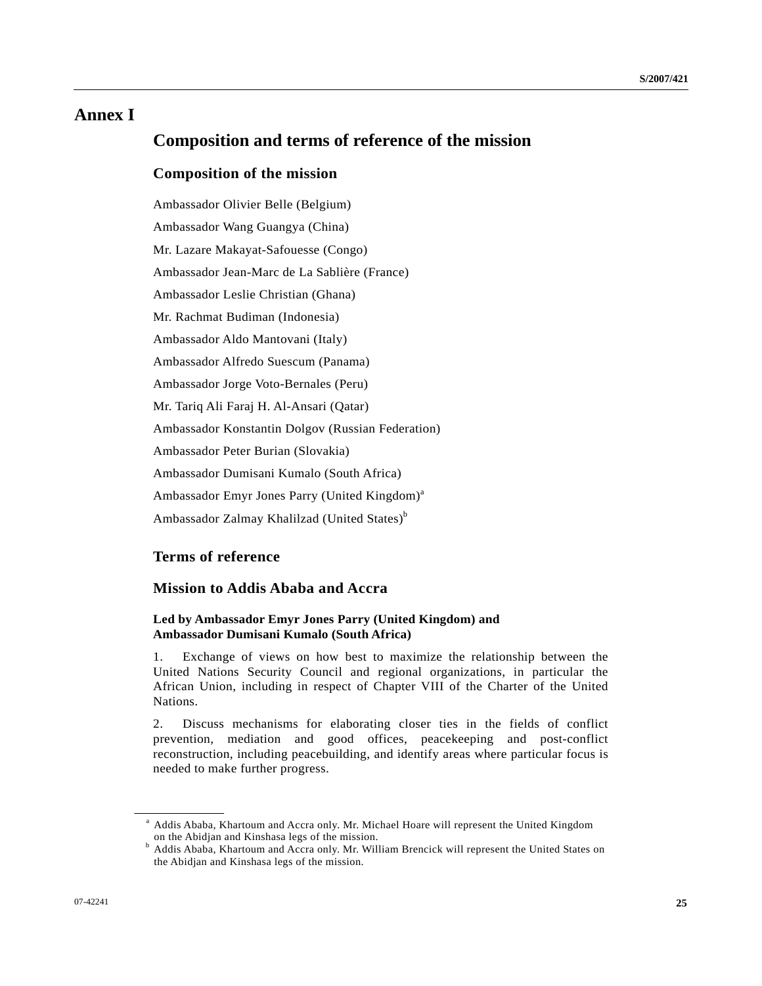## **Annex I**

## **Composition and terms of reference of the mission**

#### **Composition of the mission**

Ambassador Olivier Belle (Belgium) Ambassador Wang Guangya (China) Mr. Lazare Makayat-Safouesse (Congo) Ambassador Jean-Marc de La Sablière (France) Ambassador Leslie Christian (Ghana) Mr. Rachmat Budiman (Indonesia) Ambassador Aldo Mantovani (Italy) Ambassador Alfredo Suescum (Panama) Ambassador Jorge Voto-Bernales (Peru) Mr. Tariq Ali Faraj H. Al-Ansari (Qatar) Ambassador Konstantin Dolgov (Russian Federation) Ambassador Peter Burian (Slovakia) Ambassador Dumisani Kumalo (South Africa) Ambassador Emyr Jones Parry (United Kingdom)<sup>a</sup> Ambassador Zalmay Khalilzad (United States)<sup>b</sup>

## **Terms of reference**

## **Mission to Addis Ababa and Accra**

#### **Led by Ambassador Emyr Jones Parry (United Kingdom) and Ambassador Dumisani Kumalo (South Africa)**

1. Exchange of views on how best to maximize the relationship between the United Nations Security Council and regional organizations, in particular the African Union, including in respect of Chapter VIII of the Charter of the United Nations.

2. Discuss mechanisms for elaborating closer ties in the fields of conflict prevention, mediation and good offices, peacekeeping and post-conflict reconstruction, including peacebuilding, and identify areas where particular focus is needed to make further progress.

<sup>&</sup>lt;sup>a</sup> Addis Ababa, Khartoum and Accra only. Mr. Michael Hoare will represent the United Kingdom

on the Abidjan and Kinshasa legs of the mission.<br><sup>b</sup> Addis Ababa, Khartoum and Accra only. Mr. William Brencick will represent the United States on the Abidjan and Kinshasa legs of the mission.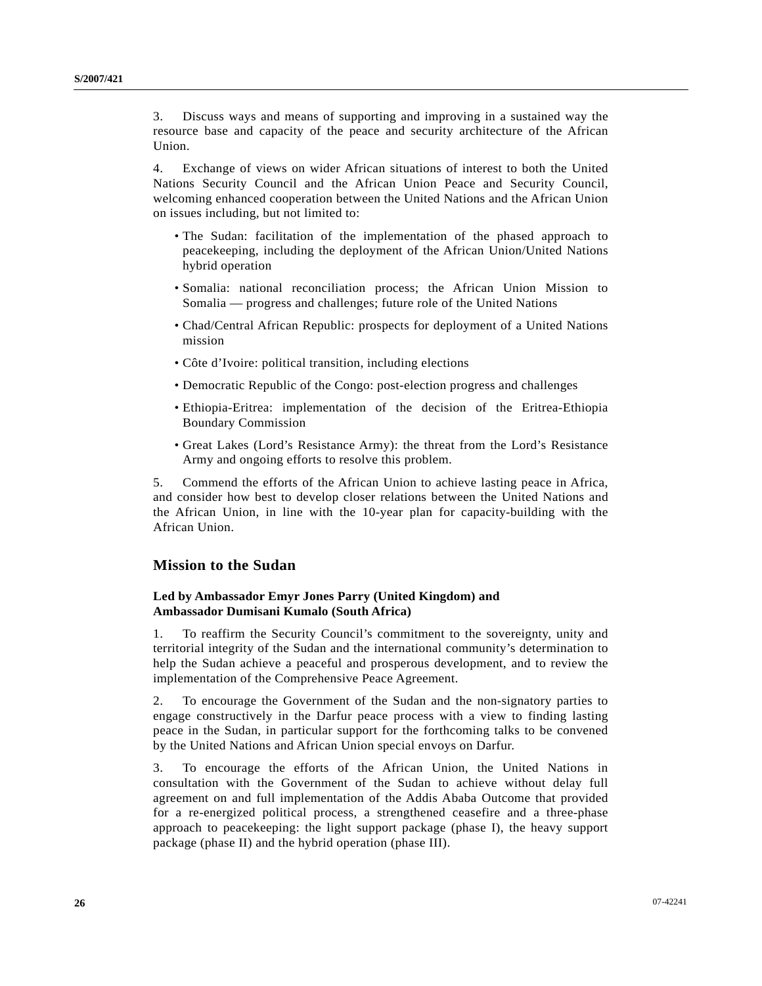3. Discuss ways and means of supporting and improving in a sustained way the resource base and capacity of the peace and security architecture of the African Union.

4. Exchange of views on wider African situations of interest to both the United Nations Security Council and the African Union Peace and Security Council, welcoming enhanced cooperation between the United Nations and the African Union on issues including, but not limited to:

- The Sudan: facilitation of the implementation of the phased approach to peacekeeping, including the deployment of the African Union/United Nations hybrid operation
- Somalia: national reconciliation process; the African Union Mission to Somalia — progress and challenges; future role of the United Nations
- Chad/Central African Republic: prospects for deployment of a United Nations mission
- Côte d'Ivoire: political transition, including elections
- Democratic Republic of the Congo: post-election progress and challenges
- Ethiopia-Eritrea: implementation of the decision of the Eritrea-Ethiopia Boundary Commission
- Great Lakes (Lord's Resistance Army): the threat from the Lord's Resistance Army and ongoing efforts to resolve this problem.

5. Commend the efforts of the African Union to achieve lasting peace in Africa, and consider how best to develop closer relations between the United Nations and the African Union, in line with the 10-year plan for capacity-building with the African Union.

### **Mission to the Sudan**

#### **Led by Ambassador Emyr Jones Parry (United Kingdom) and Ambassador Dumisani Kumalo (South Africa)**

1. To reaffirm the Security Council's commitment to the sovereignty, unity and territorial integrity of the Sudan and the international community's determination to help the Sudan achieve a peaceful and prosperous development, and to review the implementation of the Comprehensive Peace Agreement.

2. To encourage the Government of the Sudan and the non-signatory parties to engage constructively in the Darfur peace process with a view to finding lasting peace in the Sudan, in particular support for the forthcoming talks to be convened by the United Nations and African Union special envoys on Darfur.

3. To encourage the efforts of the African Union, the United Nations in consultation with the Government of the Sudan to achieve without delay full agreement on and full implementation of the Addis Ababa Outcome that provided for a re-energized political process, a strengthened ceasefire and a three-phase approach to peacekeeping: the light support package (phase I), the heavy support package (phase II) and the hybrid operation (phase III).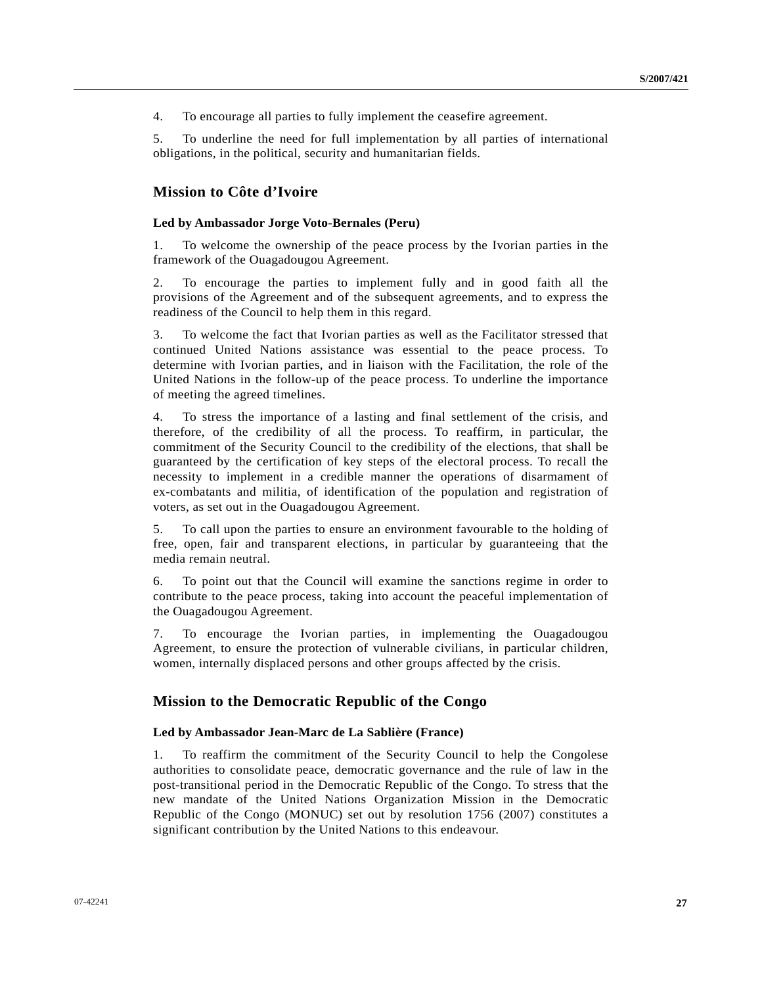4. To encourage all parties to fully implement the ceasefire agreement.

5. To underline the need for full implementation by all parties of international obligations, in the political, security and humanitarian fields.

### **Mission to Côte d'Ivoire**

#### **Led by Ambassador Jorge Voto-Bernales (Peru)**

1. To welcome the ownership of the peace process by the Ivorian parties in the framework of the Ouagadougou Agreement.

2. To encourage the parties to implement fully and in good faith all the provisions of the Agreement and of the subsequent agreements, and to express the readiness of the Council to help them in this regard.

3. To welcome the fact that Ivorian parties as well as the Facilitator stressed that continued United Nations assistance was essential to the peace process. To determine with Ivorian parties, and in liaison with the Facilitation, the role of the United Nations in the follow-up of the peace process. To underline the importance of meeting the agreed timelines.

4. To stress the importance of a lasting and final settlement of the crisis, and therefore, of the credibility of all the process. To reaffirm, in particular, the commitment of the Security Council to the credibility of the elections, that shall be guaranteed by the certification of key steps of the electoral process. To recall the necessity to implement in a credible manner the operations of disarmament of ex-combatants and militia, of identification of the population and registration of voters, as set out in the Ouagadougou Agreement.

5. To call upon the parties to ensure an environment favourable to the holding of free, open, fair and transparent elections, in particular by guaranteeing that the media remain neutral.

6. To point out that the Council will examine the sanctions regime in order to contribute to the peace process, taking into account the peaceful implementation of the Ouagadougou Agreement.

7. To encourage the Ivorian parties, in implementing the Ouagadougou Agreement, to ensure the protection of vulnerable civilians, in particular children, women, internally displaced persons and other groups affected by the crisis.

#### **Mission to the Democratic Republic of the Congo**

#### **Led by Ambassador Jean-Marc de La Sablière (France)**

1. To reaffirm the commitment of the Security Council to help the Congolese authorities to consolidate peace, democratic governance and the rule of law in the post-transitional period in the Democratic Republic of the Congo. To stress that the new mandate of the United Nations Organization Mission in the Democratic Republic of the Congo (MONUC) set out by resolution 1756 (2007) constitutes a significant contribution by the United Nations to this endeavour.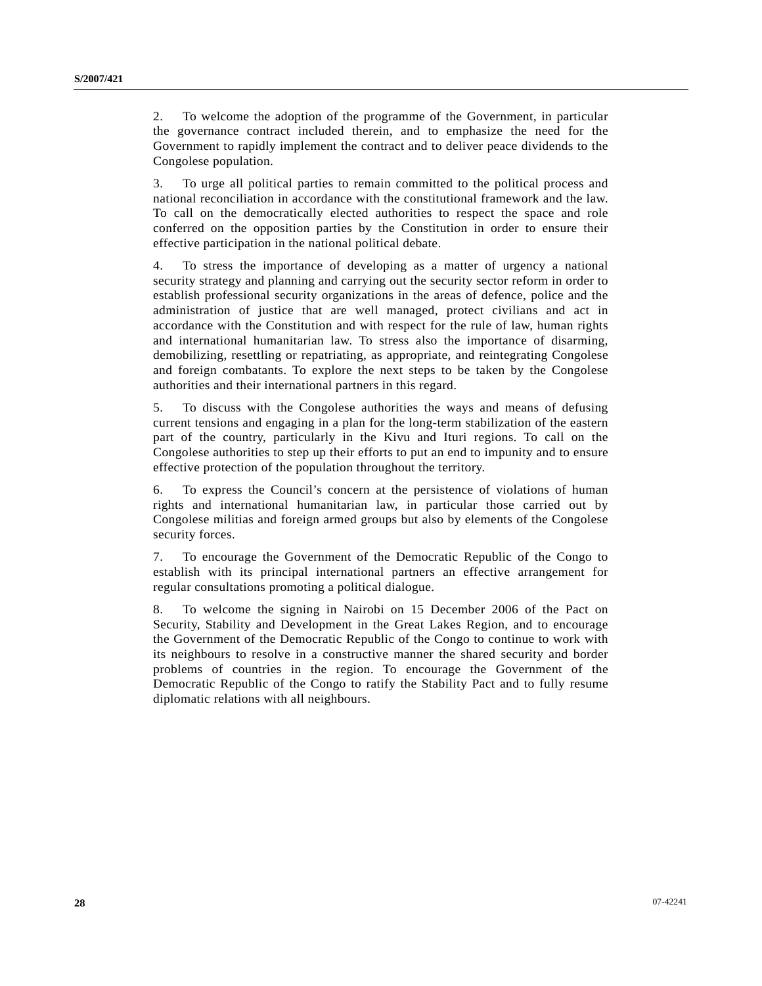2. To welcome the adoption of the programme of the Government, in particular the governance contract included therein, and to emphasize the need for the Government to rapidly implement the contract and to deliver peace dividends to the Congolese population.

3. To urge all political parties to remain committed to the political process and national reconciliation in accordance with the constitutional framework and the law. To call on the democratically elected authorities to respect the space and role conferred on the opposition parties by the Constitution in order to ensure their effective participation in the national political debate.

4. To stress the importance of developing as a matter of urgency a national security strategy and planning and carrying out the security sector reform in order to establish professional security organizations in the areas of defence, police and the administration of justice that are well managed, protect civilians and act in accordance with the Constitution and with respect for the rule of law, human rights and international humanitarian law. To stress also the importance of disarming, demobilizing, resettling or repatriating, as appropriate, and reintegrating Congolese and foreign combatants. To explore the next steps to be taken by the Congolese authorities and their international partners in this regard.

5. To discuss with the Congolese authorities the ways and means of defusing current tensions and engaging in a plan for the long-term stabilization of the eastern part of the country, particularly in the Kivu and Ituri regions. To call on the Congolese authorities to step up their efforts to put an end to impunity and to ensure effective protection of the population throughout the territory.

6. To express the Council's concern at the persistence of violations of human rights and international humanitarian law, in particular those carried out by Congolese militias and foreign armed groups but also by elements of the Congolese security forces.

7. To encourage the Government of the Democratic Republic of the Congo to establish with its principal international partners an effective arrangement for regular consultations promoting a political dialogue.

8. To welcome the signing in Nairobi on 15 December 2006 of the Pact on Security, Stability and Development in the Great Lakes Region, and to encourage the Government of the Democratic Republic of the Congo to continue to work with its neighbours to resolve in a constructive manner the shared security and border problems of countries in the region. To encourage the Government of the Democratic Republic of the Congo to ratify the Stability Pact and to fully resume diplomatic relations with all neighbours.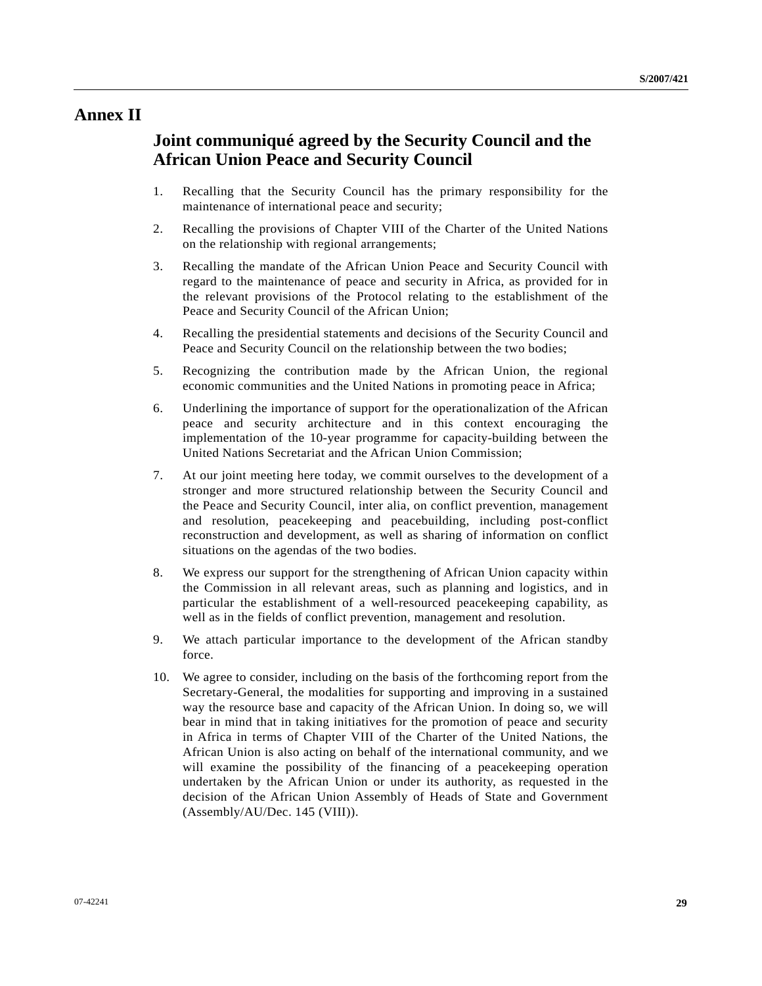## **Annex II**

## **Joint communiqué agreed by the Security Council and the African Union Peace and Security Council**

- 1. Recalling that the Security Council has the primary responsibility for the maintenance of international peace and security;
- 2. Recalling the provisions of Chapter VIII of the Charter of the United Nations on the relationship with regional arrangements;
- 3. Recalling the mandate of the African Union Peace and Security Council with regard to the maintenance of peace and security in Africa, as provided for in the relevant provisions of the Protocol relating to the establishment of the Peace and Security Council of the African Union;
- 4. Recalling the presidential statements and decisions of the Security Council and Peace and Security Council on the relationship between the two bodies;
- 5. Recognizing the contribution made by the African Union, the regional economic communities and the United Nations in promoting peace in Africa;
- 6. Underlining the importance of support for the operationalization of the African peace and security architecture and in this context encouraging the implementation of the 10-year programme for capacity-building between the United Nations Secretariat and the African Union Commission;
- 7. At our joint meeting here today, we commit ourselves to the development of a stronger and more structured relationship between the Security Council and the Peace and Security Council, inter alia, on conflict prevention, management and resolution, peacekeeping and peacebuilding, including post-conflict reconstruction and development, as well as sharing of information on conflict situations on the agendas of the two bodies.
- 8. We express our support for the strengthening of African Union capacity within the Commission in all relevant areas, such as planning and logistics, and in particular the establishment of a well-resourced peacekeeping capability, as well as in the fields of conflict prevention, management and resolution.
- 9. We attach particular importance to the development of the African standby force.
- 10. We agree to consider, including on the basis of the forthcoming report from the Secretary-General, the modalities for supporting and improving in a sustained way the resource base and capacity of the African Union. In doing so, we will bear in mind that in taking initiatives for the promotion of peace and security in Africa in terms of Chapter VIII of the Charter of the United Nations, the African Union is also acting on behalf of the international community, and we will examine the possibility of the financing of a peacekeeping operation undertaken by the African Union or under its authority, as requested in the decision of the African Union Assembly of Heads of State and Government (Assembly/AU/Dec. 145 (VIII)).